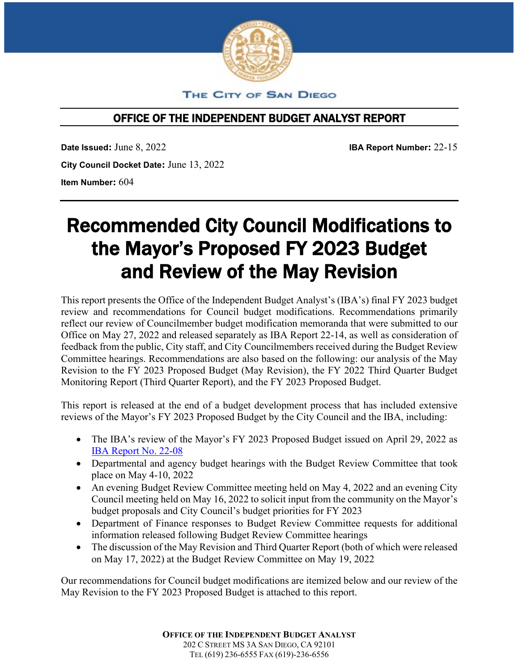

THE CITY OF SAN DIEGO

# OFFICE OF THE INDEPENDENT BUDGET ANALYST REPORT

**Date Issued:** June 8, 2022 **IBA Report Number:** 22-15 **City Council Docket Date:** June 13, 2022 **Item Number:** 604

# Recommended City Council Modifications to the Mayor's Proposed FY 2023 Budget and Review of the May Revision

This report presents the Office of the Independent Budget Analyst's (IBA's) final FY 2023 budget review and recommendations for Council budget modifications. Recommendations primarily reflect our review of Councilmember budget modification memoranda that were submitted to our Office on May 27, 2022 and released separately as IBA Report 22-14, as well as consideration of feedback from the public, City staff, and City Councilmembers received during the Budget Review Committee hearings. Recommendations are also based on the following: our analysis of the May Revision to the FY 2023 Proposed Budget (May Revision), the FY 2022 Third Quarter Budget Monitoring Report (Third Quarter Report), and the FY 2023 Proposed Budget.

This report is released at the end of a budget development process that has included extensive reviews of the Mayor's FY 2023 Proposed Budget by the City Council and the IBA, including:

- The IBA's review of the Mayor's FY 2023 Proposed Budget issued on April 29, 2022 as [IBA Report No. 22-08](https://www.sandiego.gov/sites/default/files/iba-fy23-proposed-budget-review.pdf)
- Departmental and agency budget hearings with the Budget Review Committee that took place on May 4-10, 2022
- An evening Budget Review Committee meeting held on May 4, 2022 and an evening City Council meeting held on May 16, 2022 to solicit input from the community on the Mayor's budget proposals and City Council's budget priorities for FY 2023
- Department of Finance responses to Budget Review Committee requests for additional information released following Budget Review Committee hearings
- The discussion of the May Revision and Third Quarter Report (both of which were released on May 17, 2022) at the Budget Review Committee on May 19, 2022

Our recommendations for Council budget modifications are itemized below and our review of the May Revision to the FY 2023 Proposed Budget is attached to this report.

> **OFFICE OF THE INDEPENDENT BUDGET ANALYST** 202 C STREET MS 3A SAN DIEGO, CA 92101 TEL (619) 236-6555 FAX (619)-236-6556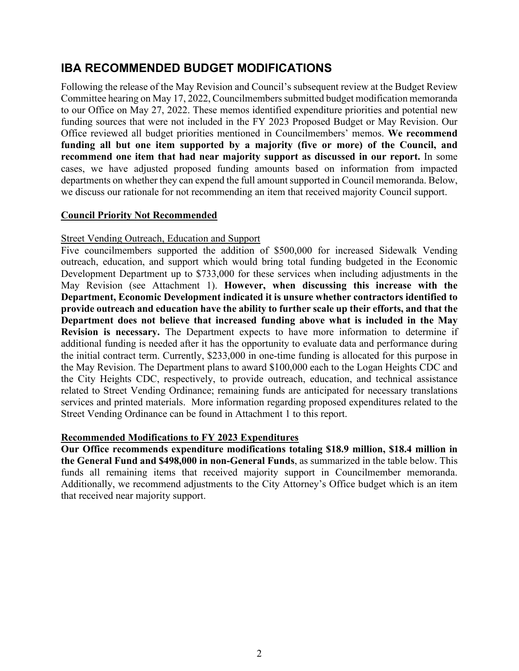# **IBA RECOMMENDED BUDGET MODIFICATIONS**

Following the release of the May Revision and Council's subsequent review at the Budget Review Committee hearing on May 17, 2022, Councilmembers submitted budget modification memoranda to our Office on May 27, 2022. These memos identified expenditure priorities and potential new funding sources that were not included in the FY 2023 Proposed Budget or May Revision. Our Office reviewed all budget priorities mentioned in Councilmembers' memos. **We recommend funding all but one item supported by a majority (five or more) of the Council, and recommend one item that had near majority support as discussed in our report.** In some cases, we have adjusted proposed funding amounts based on information from impacted departments on whether they can expend the full amount supported in Council memoranda. Below, we discuss our rationale for not recommending an item that received majority Council support.

# **Council Priority Not Recommended**

# Street Vending Outreach, Education and Support

Five councilmembers supported the addition of \$500,000 for increased Sidewalk Vending outreach, education, and support which would bring total funding budgeted in the Economic Development Department up to \$733,000 for these services when including adjustments in the May Revision (see Attachment 1). **However, when discussing this increase with the Department, Economic Development indicated it is unsure whether contractors identified to provide outreach and education have the ability to further scale up their efforts, and that the Department does not believe that increased funding above what is included in the May Revision is necessary.** The Department expects to have more information to determine if additional funding is needed after it has the opportunity to evaluate data and performance during the initial contract term. Currently, \$233,000 in one-time funding is allocated for this purpose in the May Revision. The Department plans to award \$100,000 each to the Logan Heights CDC and the City Heights CDC, respectively, to provide outreach, education, and technical assistance related to Street Vending Ordinance; remaining funds are anticipated for necessary translations services and printed materials. More information regarding proposed expenditures related to the Street Vending Ordinance can be found in Attachment 1 to this report.

# **Recommended Modifications to FY 2023 Expenditures**

**Our Office recommends expenditure modifications totaling \$18.9 million, \$18.4 million in the General Fund and \$498,000 in non-General Funds**, as summarized in the table below. This funds all remaining items that received majority support in Councilmember memoranda. Additionally, we recommend adjustments to the City Attorney's Office budget which is an item that received near majority support.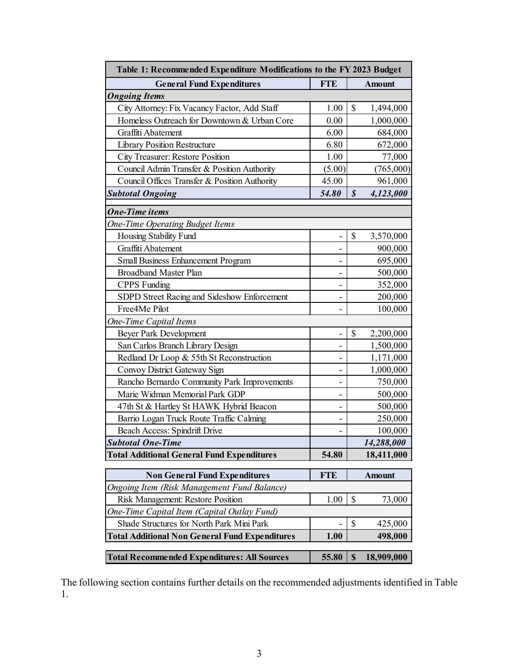| Table 1: Recommended Expenditure Modifications to the FY 2023 Budget |            |                                         |  |  |  |  |
|----------------------------------------------------------------------|------------|-----------------------------------------|--|--|--|--|
| <b>General Fund Expenditures</b>                                     | <b>FTE</b> | <b>Amount</b>                           |  |  |  |  |
| <b>Ongoing Items</b>                                                 |            |                                         |  |  |  |  |
| City Attorney: Fix Vacancy Factor, Add Staff                         | 1.00       | \$<br>1,494,000                         |  |  |  |  |
| Homeless Outreach for Downtown & Urban Core                          | 0.00       | 1,000,000                               |  |  |  |  |
| Graffiti Abatement                                                   | 6.00       | 684,000                                 |  |  |  |  |
| <b>Library Position Restructure</b>                                  | 6.80       | 672,000                                 |  |  |  |  |
| City Treasurer: Restore Position                                     | 1.00       | 77,000                                  |  |  |  |  |
| Council Admin Transfer & Position Authority                          | (5.00)     | (765,000)                               |  |  |  |  |
| Council Offices Transfer & Position Authority                        | 45.00      | 961,000                                 |  |  |  |  |
| <b>Subtotal Ongoing</b>                                              | 54.80      | \$<br>4,123,000                         |  |  |  |  |
| <b>One-Time items</b>                                                |            |                                         |  |  |  |  |
| <b>One-Time Operating Budget Items</b>                               |            |                                         |  |  |  |  |
| Housing Stability Fund                                               |            | \$<br>3,570,000                         |  |  |  |  |
| Graffiti Abatement                                                   |            | 900,000                                 |  |  |  |  |
| Small Business Enhancement Program                                   |            | 695,000                                 |  |  |  |  |
| <b>Broadband Master Plan</b>                                         |            | 500,000                                 |  |  |  |  |
| <b>CPPS</b> Funding                                                  | ۰          | 352,000                                 |  |  |  |  |
| SDPD Street Racing and Sideshow Enforcement                          |            | 200,000                                 |  |  |  |  |
| Free4Me Pilot                                                        |            | 100,000                                 |  |  |  |  |
| One-Time Capital Items                                               |            |                                         |  |  |  |  |
| Beyer Park Development                                               |            | \$<br>2,200,000                         |  |  |  |  |
| San Carlos Branch Library Design                                     |            | 1,500,000                               |  |  |  |  |
| Redland Dr Loop & 55th St Reconstruction                             |            | 1,171,000                               |  |  |  |  |
| Convoy District Gateway Sign                                         |            | 1,000,000                               |  |  |  |  |
| Rancho Bernardo Community Park Improvements                          | -          | 750,000                                 |  |  |  |  |
| Marie Widman Memorial Park GDP                                       |            | 500,000                                 |  |  |  |  |
| 47th St & Hartley St HAWK Hybrid Beacon                              |            | 500,000                                 |  |  |  |  |
| Barrio Logan Truck Route Traffic Calming                             |            | 250,000                                 |  |  |  |  |
| Beach Access: Spindrift Drive                                        |            | 100,000                                 |  |  |  |  |
| <b>Subtotal One-Time</b>                                             |            | 14,288,000                              |  |  |  |  |
| <b>Total Additional General Fund Expenditures</b>                    | 54.80      | 18,411,000                              |  |  |  |  |
| <b>Non General Fund Expenditures</b>                                 | <b>FTE</b> | <b>Amount</b>                           |  |  |  |  |
| <b>Ongoing Item (Risk Management Fund Balance)</b>                   |            |                                         |  |  |  |  |
| Risk Management: Restore Position                                    | 1.00       | \$<br>73,000                            |  |  |  |  |
| One-Time Capital Item (Capital Outlay Fund)                          |            |                                         |  |  |  |  |
| Shade Structures for North Park Mini Park                            |            | \$<br>425,000                           |  |  |  |  |
| <b>Total Additional Non General Fund Expenditures</b>                | 1.00       | 498,000                                 |  |  |  |  |
| <b>Total Recommended Expenditures: All Sources</b>                   | 55.80      | $\boldsymbol{\mathsf{S}}$<br>18,909,000 |  |  |  |  |

The following section contains further details on the recommended adjustments identified in Table 1.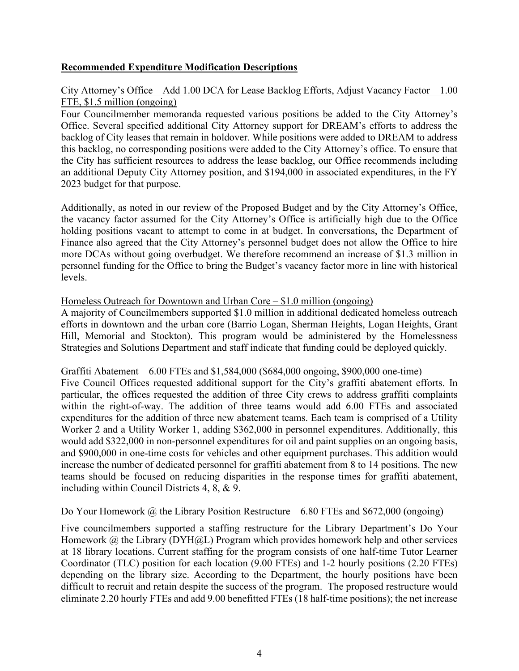# **Recommended Expenditure Modification Descriptions**

## City Attorney's Office – Add 1.00 DCA for Lease Backlog Efforts, Adjust Vacancy Factor – 1.00 FTE, \$1.5 million (ongoing)

Four Councilmember memoranda requested various positions be added to the City Attorney's Office. Several specified additional City Attorney support for DREAM's efforts to address the backlog of City leases that remain in holdover. While positions were added to DREAM to address this backlog, no corresponding positions were added to the City Attorney's office. To ensure that the City has sufficient resources to address the lease backlog, our Office recommends including an additional Deputy City Attorney position, and \$194,000 in associated expenditures, in the FY 2023 budget for that purpose.

Additionally, as noted in our review of the Proposed Budget and by the City Attorney's Office, the vacancy factor assumed for the City Attorney's Office is artificially high due to the Office holding positions vacant to attempt to come in at budget. In conversations, the Department of Finance also agreed that the City Attorney's personnel budget does not allow the Office to hire more DCAs without going overbudget. We therefore recommend an increase of \$1.3 million in personnel funding for the Office to bring the Budget's vacancy factor more in line with historical levels.

### Homeless Outreach for Downtown and Urban Core – \$1.0 million (ongoing)

A majority of Councilmembers supported \$1.0 million in additional dedicated homeless outreach efforts in downtown and the urban core (Barrio Logan, Sherman Heights, Logan Heights, Grant Hill, Memorial and Stockton). This program would be administered by the Homelessness Strategies and Solutions Department and staff indicate that funding could be deployed quickly.

#### Graffiti Abatement – 6.00 FTEs and \$1,584,000 (\$684,000 ongoing, \$900,000 one-time)

Five Council Offices requested additional support for the City's graffiti abatement efforts. In particular, the offices requested the addition of three City crews to address graffiti complaints within the right-of-way. The addition of three teams would add 6.00 FTEs and associated expenditures for the addition of three new abatement teams. Each team is comprised of a Utility Worker 2 and a Utility Worker 1, adding \$362,000 in personnel expenditures. Additionally, this would add \$322,000 in non-personnel expenditures for oil and paint supplies on an ongoing basis, and \$900,000 in one-time costs for vehicles and other equipment purchases. This addition would increase the number of dedicated personnel for graffiti abatement from 8 to 14 positions. The new teams should be focused on reducing disparities in the response times for graffiti abatement, including within Council Districts 4, 8, & 9.

### Do Your Homework  $\omega$  the Library Position Restructure – 6.80 FTEs and \$672,000 (ongoing)

Five councilmembers supported a staffing restructure for the Library Department's Do Your Homework @ the Library (DYH@L) Program which provides homework help and other services at 18 library locations. Current staffing for the program consists of one half-time Tutor Learner Coordinator (TLC) position for each location (9.00 FTEs) and 1-2 hourly positions (2.20 FTEs) depending on the library size. According to the Department, the hourly positions have been difficult to recruit and retain despite the success of the program. The proposed restructure would eliminate 2.20 hourly FTEs and add 9.00 benefitted FTEs (18 half-time positions); the net increase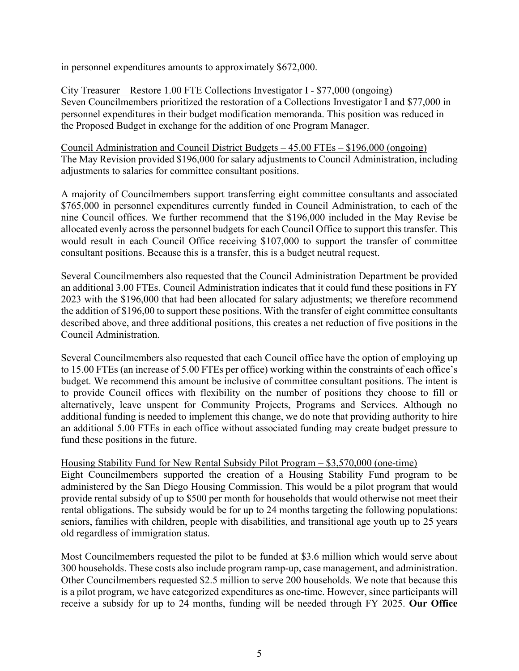in personnel expenditures amounts to approximately \$672,000.

City Treasurer – Restore 1.00 FTE Collections Investigator I - \$77,000 (ongoing) Seven Councilmembers prioritized the restoration of a Collections Investigator I and \$77,000 in personnel expenditures in their budget modification memoranda. This position was reduced in the Proposed Budget in exchange for the addition of one Program Manager.

Council Administration and Council District Budgets – 45.00 FTEs – \$196,000 (ongoing) The May Revision provided \$196,000 for salary adjustments to Council Administration, including adjustments to salaries for committee consultant positions.

A majority of Councilmembers support transferring eight committee consultants and associated \$765,000 in personnel expenditures currently funded in Council Administration, to each of the nine Council offices. We further recommend that the \$196,000 included in the May Revise be allocated evenly across the personnel budgets for each Council Office to support this transfer. This would result in each Council Office receiving \$107,000 to support the transfer of committee consultant positions. Because this is a transfer, this is a budget neutral request.

Several Councilmembers also requested that the Council Administration Department be provided an additional 3.00 FTEs. Council Administration indicates that it could fund these positions in FY 2023 with the \$196,000 that had been allocated for salary adjustments; we therefore recommend the addition of \$196,00 to support these positions. With the transfer of eight committee consultants described above, and three additional positions, this creates a net reduction of five positions in the Council Administration.

Several Councilmembers also requested that each Council office have the option of employing up to 15.00 FTEs (an increase of 5.00 FTEs per office) working within the constraints of each office's budget. We recommend this amount be inclusive of committee consultant positions. The intent is to provide Council offices with flexibility on the number of positions they choose to fill or alternatively, leave unspent for Community Projects, Programs and Services. Although no additional funding is needed to implement this change, we do note that providing authority to hire an additional 5.00 FTEs in each office without associated funding may create budget pressure to fund these positions in the future.

Housing Stability Fund for New Rental Subsidy Pilot Program – \$3,570,000 (one-time)

Eight Councilmembers supported the creation of a Housing Stability Fund program to be administered by the San Diego Housing Commission. This would be a pilot program that would provide rental subsidy of up to \$500 per month for households that would otherwise not meet their rental obligations. The subsidy would be for up to 24 months targeting the following populations: seniors, families with children, people with disabilities, and transitional age youth up to 25 years old regardless of immigration status.

Most Councilmembers requested the pilot to be funded at \$3.6 million which would serve about 300 households. These costs also include program ramp-up, case management, and administration. Other Councilmembers requested \$2.5 million to serve 200 households. We note that because this is a pilot program, we have categorized expenditures as one-time. However, since participants will receive a subsidy for up to 24 months, funding will be needed through FY 2025. **Our Office**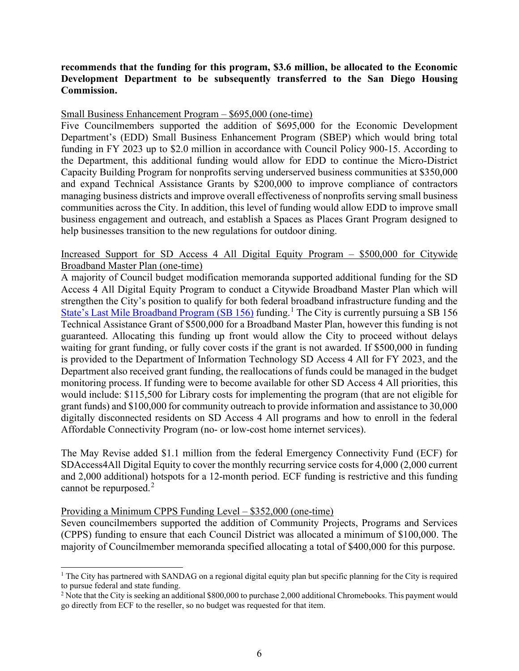### **recommends that the funding for this program, \$3.6 million, be allocated to the Economic Development Department to be subsequently transferred to the San Diego Housing Commission.**

#### Small Business Enhancement Program – \$695,000 (one-time)

Five Councilmembers supported the addition of \$695,000 for the Economic Development Department's (EDD) Small Business Enhancement Program (SBEP) which would bring total funding in FY 2023 up to \$2.0 million in accordance with Council Policy 900-15. According to the Department, this additional funding would allow for EDD to continue the Micro-District Capacity Building Program for nonprofits serving underserved business communities at \$350,000 and expand Technical Assistance Grants by \$200,000 to improve compliance of contractors managing business districts and improve overall effectiveness of nonprofits serving small business communities across the City. In addition, this level of funding would allow EDD to improve small business engagement and outreach, and establish a Spaces as Places Grant Program designed to help businesses transition to the new regulations for outdoor dining.

### Increased Support for SD Access 4 All Digital Equity Program – \$500,000 for Citywide Broadband Master Plan (one-time)

A majority of Council budget modification memoranda supported additional funding for the SD Access 4 All Digital Equity Program to conduct a Citywide Broadband Master Plan which will strengthen the City's position to qualify for both federal broadband infrastructure funding and the [State's Last Mile Broadband Program \(SB 156\)](https://www.cpuc.ca.gov/-/media/cpuc-website/industries-and-topics/documents/telecommunications/broadband--fact-sheet_083021.pdf) funding.<sup>[1](#page-5-0)</sup> The City is currently pursuing a SB 156 Technical Assistance Grant of \$500,000 for a Broadband Master Plan, however this funding is not guaranteed. Allocating this funding up front would allow the City to proceed without delays waiting for grant funding, or fully cover costs if the grant is not awarded. If \$500,000 in funding is provided to the Department of Information Technology SD Access 4 All for FY 2023, and the Department also received grant funding, the reallocations of funds could be managed in the budget monitoring process. If funding were to become available for other SD Access 4 All priorities, this would include: \$115,500 for Library costs for implementing the program (that are not eligible for grant funds) and \$100,000 for community outreach to provide information and assistance to 30,000 digitally disconnected residents on SD Access 4 All programs and how to enroll in the federal Affordable Connectivity Program (no- or low-cost home internet services).

The May Revise added \$1.1 million from the federal Emergency Connectivity Fund (ECF) for SDAccess4All Digital Equity to cover the monthly recurring service costs for 4,000 (2,000 current and 2,000 additional) hotspots for a 12-month period. ECF funding is restrictive and this funding cannot be repurposed. $2$ 

### Providing a Minimum CPPS Funding Level – \$352,000 (one-time)

Seven councilmembers supported the addition of Community Projects, Programs and Services (CPPS) funding to ensure that each Council District was allocated a minimum of \$100,000. The majority of Councilmember memoranda specified allocating a total of \$400,000 for this purpose.

<span id="page-5-0"></span><sup>&</sup>lt;sup>1</sup> The City has partnered with SANDAG on a regional digital equity plan but specific planning for the City is required to pursue federal and state funding.

<span id="page-5-1"></span><sup>&</sup>lt;sup>2</sup> Note that the City is seeking an additional \$800,000 to purchase 2,000 additional Chromebooks. This payment would go directly from ECF to the reseller, so no budget was requested for that item.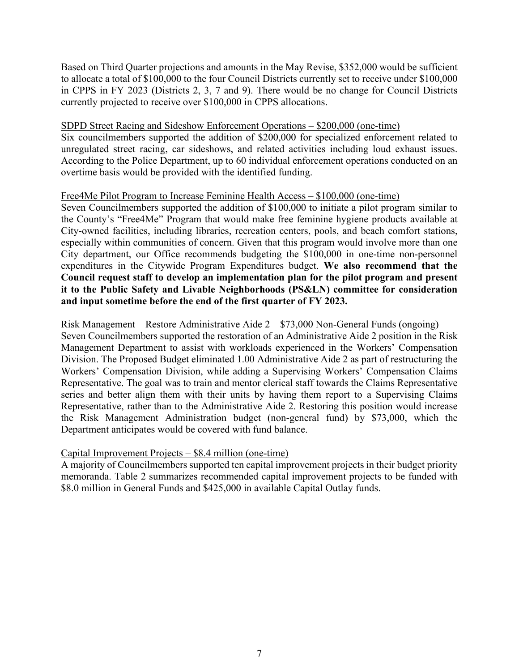Based on Third Quarter projections and amounts in the May Revise, \$352,000 would be sufficient to allocate a total of \$100,000 to the four Council Districts currently set to receive under \$100,000 in CPPS in FY 2023 (Districts 2, 3, 7 and 9). There would be no change for Council Districts currently projected to receive over \$100,000 in CPPS allocations.

### SDPD Street Racing and Sideshow Enforcement Operations – \$200,000 (one-time)

Six councilmembers supported the addition of \$200,000 for specialized enforcement related to unregulated street racing, car sideshows, and related activities including loud exhaust issues. According to the Police Department, up to 60 individual enforcement operations conducted on an overtime basis would be provided with the identified funding.

### Free4Me Pilot Program to Increase Feminine Health Access – \$100,000 (one-time)

Seven Councilmembers supported the addition of \$100,000 to initiate a pilot program similar to the County's "Free4Me" Program that would make free feminine hygiene products available at City-owned facilities, including libraries, recreation centers, pools, and beach comfort stations, especially within communities of concern. Given that this program would involve more than one City department, our Office recommends budgeting the \$100,000 in one-time non-personnel expenditures in the Citywide Program Expenditures budget. **We also recommend that the Council request staff to develop an implementation plan for the pilot program and present it to the Public Safety and Livable Neighborhoods (PS&LN) committee for consideration and input sometime before the end of the first quarter of FY 2023.**

### Risk Management – Restore Administrative Aide 2 – \$73,000 Non-General Funds (ongoing)

Seven Councilmembers supported the restoration of an Administrative Aide 2 position in the Risk Management Department to assist with workloads experienced in the Workers' Compensation Division. The Proposed Budget eliminated 1.00 Administrative Aide 2 as part of restructuring the Workers' Compensation Division, while adding a Supervising Workers' Compensation Claims Representative. The goal was to train and mentor clerical staff towards the Claims Representative series and better align them with their units by having them report to a Supervising Claims Representative, rather than to the Administrative Aide 2. Restoring this position would increase the Risk Management Administration budget (non-general fund) by \$73,000, which the Department anticipates would be covered with fund balance.

# Capital Improvement Projects – \$8.4 million (one-time)

A majority of Councilmembers supported ten capital improvement projects in their budget priority memoranda. Table 2 summarizes recommended capital improvement projects to be funded with \$8.0 million in General Funds and \$425,000 in available Capital Outlay funds.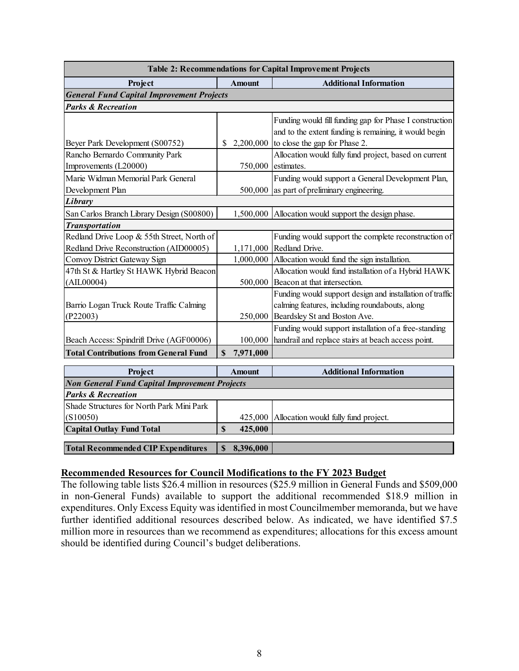| Table 2: Recommendations for Capital Improvement Projects       |              |               |                                                          |  |  |  |  |  |
|-----------------------------------------------------------------|--------------|---------------|----------------------------------------------------------|--|--|--|--|--|
| Project                                                         |              | <b>Amount</b> | <b>Additional Information</b>                            |  |  |  |  |  |
| <b>General Fund Capital Improvement Projects</b>                |              |               |                                                          |  |  |  |  |  |
| <b>Parks &amp; Recreation</b>                                   |              |               |                                                          |  |  |  |  |  |
|                                                                 |              |               | Funding would fill funding gap for Phase I construction  |  |  |  |  |  |
|                                                                 |              |               | and to the extent funding is remaining, it would begin   |  |  |  |  |  |
| Beyer Park Development (S00752)                                 | S            | 2,200,000     | to close the gap for Phase 2.                            |  |  |  |  |  |
| Rancho Bernardo Community Park                                  |              |               | Allocation would fully fund project, based on current    |  |  |  |  |  |
| Improvements (L20000)                                           |              | 750,000       | estimates.                                               |  |  |  |  |  |
| Marie Widman Memorial Park General                              |              |               | Funding would support a General Development Plan,        |  |  |  |  |  |
| Development Plan                                                |              | 500,000       | as part of preliminary engineering.                      |  |  |  |  |  |
| Library                                                         |              |               |                                                          |  |  |  |  |  |
| San Carlos Branch Library Design (S00800)                       |              | 1,500,000     | Allocation would support the design phase.               |  |  |  |  |  |
| <b>Transportation</b>                                           |              |               |                                                          |  |  |  |  |  |
| Redland Drive Loop & 55th Street, North of                      |              |               | Funding would support the complete reconstruction of     |  |  |  |  |  |
| Redland Drive Reconstruction (AID00005)                         |              | 1,171,000     | Redland Drive.                                           |  |  |  |  |  |
| Convoy District Gateway Sign                                    |              | 1,000,000     | Allocation would fund the sign installation.             |  |  |  |  |  |
| 47th St & Hartley St HAWK Hybrid Beacon                         |              |               | Allocation would fund installation of a Hybrid HAWK      |  |  |  |  |  |
| (AIIL00004)                                                     |              | 500,000       | Beacon at that intersection.                             |  |  |  |  |  |
|                                                                 |              |               | Funding would support design and installation of traffic |  |  |  |  |  |
| Barrio Logan Truck Route Traffic Calming                        |              |               | calming features, including roundabouts, along           |  |  |  |  |  |
| (P22003)                                                        |              | 250,000       | Beardsley St and Boston Ave.                             |  |  |  |  |  |
|                                                                 |              |               | Funding would support installation of a free-standing    |  |  |  |  |  |
| Beach Access: Spindrift Drive (AGF00006)                        |              | 100,000       | handrail and replace stairs at beach access point.       |  |  |  |  |  |
| <b>Total Contributions from General Fund</b>                    | S            | 7,971,000     |                                                          |  |  |  |  |  |
|                                                                 |              |               |                                                          |  |  |  |  |  |
| Project<br><b>Non General Fund Capital Improvement Projects</b> |              | <b>Amount</b> | <b>Additional Information</b>                            |  |  |  |  |  |
| <b>Parks &amp; Recreation</b>                                   |              |               |                                                          |  |  |  |  |  |
| Shade Structures for North Park Mini Park                       |              |               |                                                          |  |  |  |  |  |
| (S10050)                                                        |              | 425,000       | Allocation would fully fund project.                     |  |  |  |  |  |
| <b>Capital Outlay Fund Total</b>                                | $\mathbf S$  | 425,000       |                                                          |  |  |  |  |  |
|                                                                 |              |               |                                                          |  |  |  |  |  |
| <b>Total Recommended CIP Expenditures</b>                       | $\mathbb{S}$ | 8,396,000     |                                                          |  |  |  |  |  |

### **Recommended Resources for Council Modifications to the FY 2023 Budget**

The following table lists \$26.4 million in resources (\$25.9 million in General Funds and \$509,000 in non-General Funds) available to support the additional recommended \$18.9 million in expenditures. Only Excess Equity was identified in most Councilmember memoranda, but we have further identified additional resources described below. As indicated, we have identified \$7.5 million more in resources than we recommend as expenditures; allocations for this excess amount should be identified during Council's budget deliberations.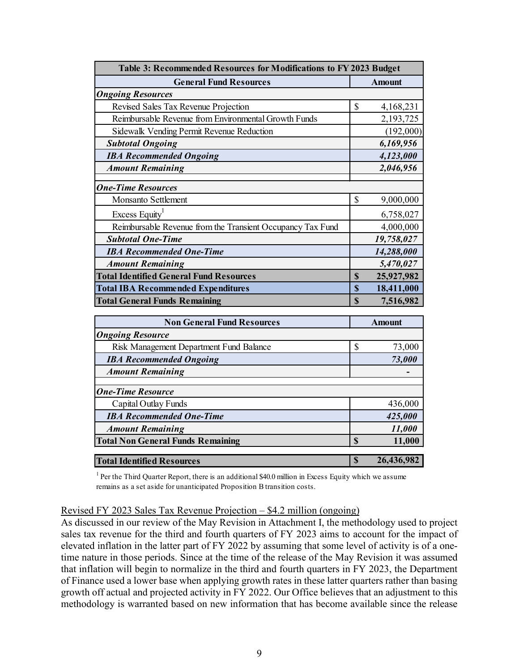| Table 3: Recommended Resources for Modifications to FY 2023 Budget |                        |  |  |  |  |
|--------------------------------------------------------------------|------------------------|--|--|--|--|
| <b>General Fund Resources</b>                                      | <b>Amount</b>          |  |  |  |  |
| <b>Ongoing Resources</b>                                           |                        |  |  |  |  |
| Revised Sales Tax Revenue Projection                               | \$<br>4,168,231        |  |  |  |  |
| Reimbursable Revenue from Environmental Growth Funds               | 2,193,725              |  |  |  |  |
| Sidewalk Vending Permit Revenue Reduction                          | (192,000)              |  |  |  |  |
| <b>Subtotal Ongoing</b>                                            | 6,169,956              |  |  |  |  |
| <b>IBA Recommended Ongoing</b>                                     | 4,123,000              |  |  |  |  |
| <b>Amount Remaining</b>                                            | 2,046,956              |  |  |  |  |
|                                                                    |                        |  |  |  |  |
| <b>One-Time Resources</b>                                          |                        |  |  |  |  |
| Monsanto Settlement                                                | \$<br>9,000,000        |  |  |  |  |
| Excess Equity <sup>1</sup>                                         | 6,758,027              |  |  |  |  |
| Reimbursable Revenue from the Transient Occupancy Tax Fund         | 4,000,000              |  |  |  |  |
| <b>Subtotal One-Time</b>                                           | 19,758,027             |  |  |  |  |
| <b>IBA</b> Recommended One-Time                                    | 14,288,000             |  |  |  |  |
| <b>Amount Remaining</b>                                            | 5,470,027              |  |  |  |  |
| <b>Total Identified General Fund Resources</b>                     | 25,927,982<br>S        |  |  |  |  |
| <b>Total IBA Recommended Expenditures</b>                          | 18,411,000<br><b>S</b> |  |  |  |  |
| <b>Total General Funds Remaining</b>                               | \$<br>7,516,982        |  |  |  |  |

| <b>Non General Fund Resources</b>        |    | <b>Amount</b> |
|------------------------------------------|----|---------------|
| <b>Ongoing Resource</b>                  |    |               |
| Risk Management Department Fund Balance  | \$ | 73,000        |
| <b>IBA Recommended Ongoing</b>           |    | 73,000        |
| <b>Amount Remaining</b>                  |    |               |
| <b>One-Time Resource</b>                 |    |               |
| Capital Outlay Funds                     |    | 436,000       |
| <b>IBA Recommended One-Time</b>          |    | 425,000       |
| <b>Amount Remaining</b>                  |    | 11,000        |
| <b>Total Non General Funds Remaining</b> | S  | 11,000        |
| <b>Total Identified Resources</b>        | S  | 26,436,982    |

<sup>1</sup> Per the Third Quarter Report, there is an additional \$40.0 million in Excess Equity which we assume remains as a set aside for unanticipated Proposition B transition costs.

#### Revised FY 2023 Sales Tax Revenue Projection – \$4.2 million (ongoing)

As discussed in our review of the May Revision in Attachment I, the methodology used to project sales tax revenue for the third and fourth quarters of FY 2023 aims to account for the impact of elevated inflation in the latter part of FY 2022 by assuming that some level of activity is of a onetime nature in those periods. Since at the time of the release of the May Revision it was assumed that inflation will begin to normalize in the third and fourth quarters in FY 2023, the Department of Finance used a lower base when applying growth rates in these latter quarters rather than basing growth off actual and projected activity in FY 2022. Our Office believes that an adjustment to this methodology is warranted based on new information that has become available since the release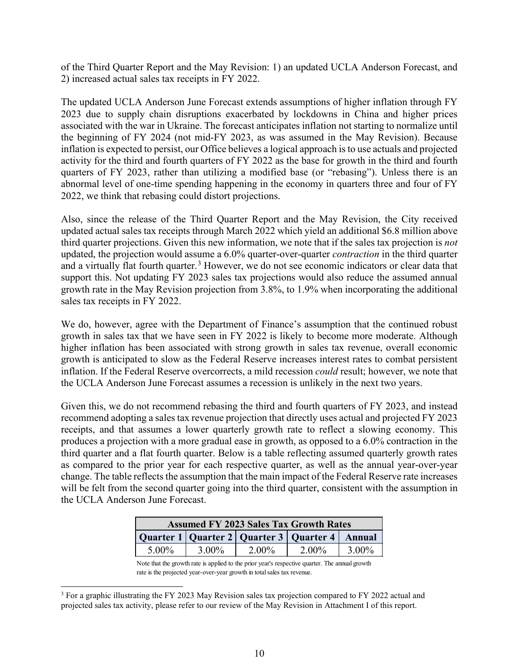of the Third Quarter Report and the May Revision: 1) an updated UCLA Anderson Forecast, and 2) increased actual sales tax receipts in FY 2022.

The updated UCLA Anderson June Forecast extends assumptions of higher inflation through FY 2023 due to supply chain disruptions exacerbated by lockdowns in China and higher prices associated with the war in Ukraine. The forecast anticipates inflation not starting to normalize until the beginning of FY 2024 (not mid-FY 2023, as was assumed in the May Revision). Because inflation is expected to persist, our Office believes a logical approach is to use actuals and projected activity for the third and fourth quarters of FY 2022 as the base for growth in the third and fourth quarters of FY 2023, rather than utilizing a modified base (or "rebasing"). Unless there is an abnormal level of one-time spending happening in the economy in quarters three and four of FY 2022, we think that rebasing could distort projections.

Also, since the release of the Third Quarter Report and the May Revision, the City received updated actual sales tax receipts through March 2022 which yield an additional \$6.8 million above third quarter projections. Given this new information, we note that if the sales tax projection is *not* updated, the projection would assume a 6.0% quarter-over-quarter *contraction* in the third quarter and a virtually flat fourth quarter.<sup>[3](#page-9-0)</sup> However, we do not see economic indicators or clear data that support this. Not updating FY 2023 sales tax projections would also reduce the assumed annual growth rate in the May Revision projection from 3.8%, to 1.9% when incorporating the additional sales tax receipts in FY 2022.

We do, however, agree with the Department of Finance's assumption that the continued robust growth in sales tax that we have seen in FY 2022 is likely to become more moderate. Although higher inflation has been associated with strong growth in sales tax revenue, overall economic growth is anticipated to slow as the Federal Reserve increases interest rates to combat persistent inflation. If the Federal Reserve overcorrects, a mild recession *could* result; however, we note that the UCLA Anderson June Forecast assumes a recession is unlikely in the next two years.

Given this, we do not recommend rebasing the third and fourth quarters of FY 2023, and instead recommend adopting a sales tax revenue projection that directly uses actual and projected FY 2023 receipts, and that assumes a lower quarterly growth rate to reflect a slowing economy. This produces a projection with a more gradual ease in growth, as opposed to a 6.0% contraction in the third quarter and a flat fourth quarter. Below is a table reflecting assumed quarterly growth rates as compared to the prior year for each respective quarter, as well as the annual year-over-year change. The table reflects the assumption that the main impact of the Federal Reserve rate increases will be felt from the second quarter going into the third quarter, consistent with the assumption in the UCLA Anderson June Forecast.

| <b>Assumed FY 2023 Sales Tax Growth Rates</b>          |          |          |       |          |  |  |  |
|--------------------------------------------------------|----------|----------|-------|----------|--|--|--|
| Quarter 1   Quarter 2   Quarter 3   Quarter 4   Annual |          |          |       |          |  |  |  |
| 5.00%                                                  | $3.00\%$ | $2.00\%$ | 2.00% | $3.00\%$ |  |  |  |

Note that the growth rate is applied to the prior year's respective quarter. The annual growth rate is the projected year-over-year growth in total sales tax revenue.

<span id="page-9-0"></span><sup>&</sup>lt;sup>3</sup> For a graphic illustrating the FY 2023 May Revision sales tax projection compared to FY 2022 actual and projected sales tax activity, please refer to our review of the May Revision in Attachment I of this report.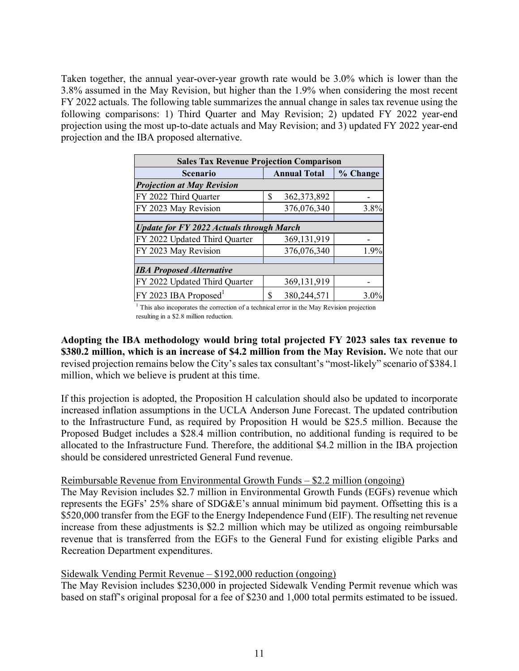Taken together, the annual year-over-year growth rate would be 3.0% which is lower than the 3.8% assumed in the May Revision, but higher than the 1.9% when considering the most recent FY 2022 actuals. The following table summarizes the annual change in sales tax revenue using the following comparisons: 1) Third Quarter and May Revision; 2) updated FY 2022 year-end projection using the most up-to-date actuals and May Revision; and 3) updated FY 2022 year-end projection and the IBA proposed alternative.

| <b>Sales Tax Revenue Projection Comparison</b>  |                     |          |  |  |  |  |  |
|-------------------------------------------------|---------------------|----------|--|--|--|--|--|
| <b>Scenario</b>                                 | <b>Annual Total</b> | % Change |  |  |  |  |  |
| <b>Projection at May Revision</b>               |                     |          |  |  |  |  |  |
| FY 2022 Third Quarter                           | \$<br>362, 373, 892 |          |  |  |  |  |  |
| FY 2023 May Revision                            | 376,076,340         | 3.8%     |  |  |  |  |  |
|                                                 |                     |          |  |  |  |  |  |
| <b>Update for FY 2022 Actuals through March</b> |                     |          |  |  |  |  |  |
| FY 2022 Updated Third Quarter                   | 369,131,919         |          |  |  |  |  |  |
| FY 2023 May Revision                            | 376,076,340         | 1.9%     |  |  |  |  |  |
|                                                 |                     |          |  |  |  |  |  |
| <b>IBA Proposed Alternative</b>                 |                     |          |  |  |  |  |  |
| FY 2022 Updated Third Quarter                   | 369, 131, 919       |          |  |  |  |  |  |
| $FY$ 2023 IBA Proposed <sup>1</sup>             | 380,244,571<br>S    | 3.0%     |  |  |  |  |  |

<sup>1</sup> This also incoporates the correction of a technical error in the May Revision projection resulting in a \$2.8 million reduction.

**Adopting the IBA methodology would bring total projected FY 2023 sales tax revenue to \$380.2 million, which is an increase of \$4.2 million from the May Revision.** We note that our revised projection remains below the City's sales tax consultant's "most-likely" scenario of \$384.1 million, which we believe is prudent at this time.

If this projection is adopted, the Proposition H calculation should also be updated to incorporate increased inflation assumptions in the UCLA Anderson June Forecast. The updated contribution to the Infrastructure Fund, as required by Proposition H would be \$25.5 million. Because the Proposed Budget includes a \$28.4 million contribution, no additional funding is required to be allocated to the Infrastructure Fund. Therefore, the additional \$4.2 million in the IBA projection should be considered unrestricted General Fund revenue.

# Reimbursable Revenue from Environmental Growth Funds – \$2.2 million (ongoing)

The May Revision includes \$2.7 million in Environmental Growth Funds (EGFs) revenue which represents the EGFs' 25% share of SDG&E's annual minimum bid payment. Offsetting this is a \$520,000 transfer from the EGF to the Energy Independence Fund (EIF). The resulting net revenue increase from these adjustments is \$2.2 million which may be utilized as ongoing reimbursable revenue that is transferred from the EGFs to the General Fund for existing eligible Parks and Recreation Department expenditures.

# Sidewalk Vending Permit Revenue – \$192,000 reduction (ongoing)

The May Revision includes \$230,000 in projected Sidewalk Vending Permit revenue which was based on staff's original proposal for a fee of \$230 and 1,000 total permits estimated to be issued.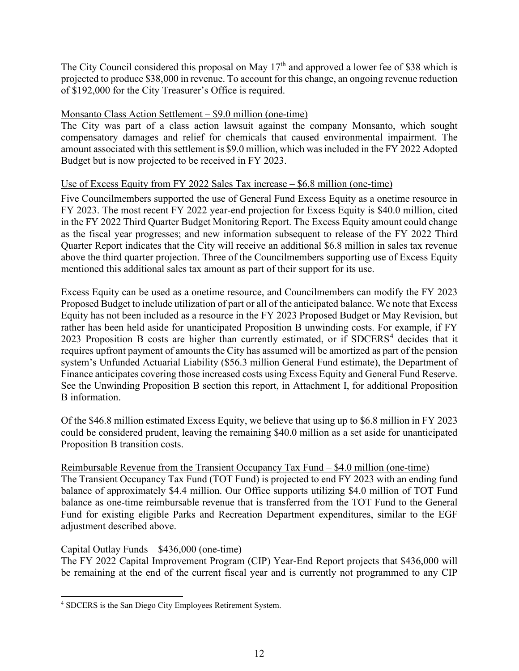The City Council considered this proposal on May 17<sup>th</sup> and approved a lower fee of \$38 which is projected to produce \$38,000 in revenue. To account for this change, an ongoing revenue reduction of \$192,000 for the City Treasurer's Office is required.

## Monsanto Class Action Settlement – \$9.0 million (one-time)

The City was part of a class action lawsuit against the company Monsanto, which sought compensatory damages and relief for chemicals that caused environmental impairment. The amount associated with this settlement is \$9.0 million, which was included in the FY 2022 Adopted Budget but is now projected to be received in FY 2023.

### Use of Excess Equity from FY 2022 Sales Tax increase – \$6.8 million (one-time)

Five Councilmembers supported the use of General Fund Excess Equity as a onetime resource in FY 2023. The most recent FY 2022 year-end projection for Excess Equity is \$40.0 million, cited in the FY 2022 Third Quarter Budget Monitoring Report. The Excess Equity amount could change as the fiscal year progresses; and new information subsequent to release of the FY 2022 Third Quarter Report indicates that the City will receive an additional \$6.8 million in sales tax revenue above the third quarter projection. Three of the Councilmembers supporting use of Excess Equity mentioned this additional sales tax amount as part of their support for its use.

Excess Equity can be used as a onetime resource, and Councilmembers can modify the FY 2023 Proposed Budget to include utilization of part or all of the anticipated balance. We note that Excess Equity has not been included as a resource in the FY 2023 Proposed Budget or May Revision, but rather has been held aside for unanticipated Proposition B unwinding costs. For example, if FY 2023 Proposition B costs are higher than currently estimated, or if SDCERS<sup>[4](#page-11-0)</sup> decides that it requires upfront payment of amounts the City has assumed will be amortized as part of the pension system's Unfunded Actuarial Liability (\$56.3 million General Fund estimate), the Department of Finance anticipates covering those increased costs using Excess Equity and General Fund Reserve. See the Unwinding Proposition B section this report, in Attachment I, for additional Proposition B information.

Of the \$46.8 million estimated Excess Equity, we believe that using up to \$6.8 million in FY 2023 could be considered prudent, leaving the remaining \$40.0 million as a set aside for unanticipated Proposition B transition costs.

### Reimbursable Revenue from the Transient Occupancy Tax Fund – \$4.0 million (one-time)

The Transient Occupancy Tax Fund (TOT Fund) is projected to end FY 2023 with an ending fund balance of approximately \$4.4 million. Our Office supports utilizing \$4.0 million of TOT Fund balance as one-time reimbursable revenue that is transferred from the TOT Fund to the General Fund for existing eligible Parks and Recreation Department expenditures, similar to the EGF adjustment described above.

### Capital Outlay Funds – \$436,000 (one-time)

The FY 2022 Capital Improvement Program (CIP) Year-End Report projects that \$436,000 will be remaining at the end of the current fiscal year and is currently not programmed to any CIP

<span id="page-11-0"></span><sup>4</sup> SDCERS is the San Diego City Employees Retirement System.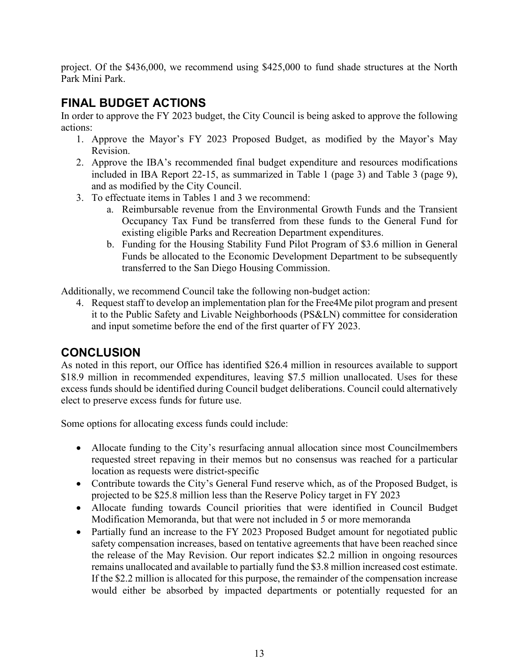project. Of the \$436,000, we recommend using \$425,000 to fund shade structures at the North Park Mini Park.

# **FINAL BUDGET ACTIONS**

In order to approve the FY 2023 budget, the City Council is being asked to approve the following actions:

- 1. Approve the Mayor's FY 2023 Proposed Budget, as modified by the Mayor's May Revision.
- 2. Approve the IBA's recommended final budget expenditure and resources modifications included in IBA Report 22-15, as summarized in Table 1 (page 3) and Table 3 (page 9), and as modified by the City Council.
- 3. To effectuate items in Tables 1 and 3 we recommend:
	- a. Reimbursable revenue from the Environmental Growth Funds and the Transient Occupancy Tax Fund be transferred from these funds to the General Fund for existing eligible Parks and Recreation Department expenditures.
	- b. Funding for the Housing Stability Fund Pilot Program of \$3.6 million in General Funds be allocated to the Economic Development Department to be subsequently transferred to the San Diego Housing Commission.

Additionally, we recommend Council take the following non-budget action:

4. Request staff to develop an implementation plan for the Free4Me pilot program and present it to the Public Safety and Livable Neighborhoods (PS&LN) committee for consideration and input sometime before the end of the first quarter of FY 2023.

# **CONCLUSION**

As noted in this report, our Office has identified \$26.4 million in resources available to support \$18.9 million in recommended expenditures, leaving \$7.5 million unallocated. Uses for these excess funds should be identified during Council budget deliberations. Council could alternatively elect to preserve excess funds for future use.

Some options for allocating excess funds could include:

- Allocate funding to the City's resurfacing annual allocation since most Councilmembers requested street repaving in their memos but no consensus was reached for a particular location as requests were district-specific
- Contribute towards the City's General Fund reserve which, as of the Proposed Budget, is projected to be \$25.8 million less than the Reserve Policy target in FY 2023
- Allocate funding towards Council priorities that were identified in Council Budget Modification Memoranda, but that were not included in 5 or more memoranda
- Partially fund an increase to the FY 2023 Proposed Budget amount for negotiated public safety compensation increases, based on tentative agreements that have been reached since the release of the May Revision. Our report indicates \$2.2 million in ongoing resources remains unallocated and available to partially fund the \$3.8 million increased cost estimate. If the \$2.2 million is allocated for this purpose, the remainder of the compensation increase would either be absorbed by impacted departments or potentially requested for an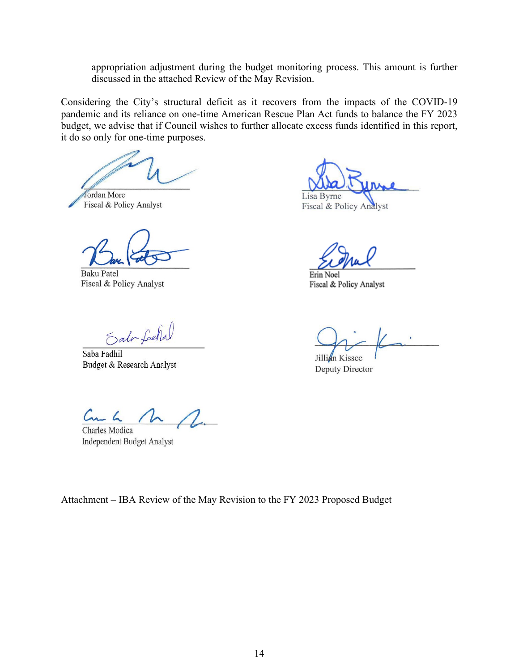appropriation adjustment during the budget monitoring process. This amount is further discussed in the attached Review of the May Revision.

Considering the City's structural deficit as it recovers from the impacts of the COVID-19 pandemic and its reliance on one-time American Rescue Plan Act funds to balance the FY 2023 budget, we advise that if Council wishes to further allocate excess funds identified in this report, it do so only for one-time purposes.

Jordan More Fiscal & Policy Analyst

**Baku Patel** Fiscal & Policy Analyst

Salv Lachal

Saba Fadhil Budget & Research Analyst

Lisa Byrne

Fiscal & Policy Analyst

Erin Noel Fiscal & Policy Analyst

Jillian Kissee Deputy Director

 $C_{n-k}$   $\Lambda$   $\Lambda$ Charles Modica

Independent Budget Analyst

Attachment – IBA Review of the May Revision to the FY 2023 Proposed Budget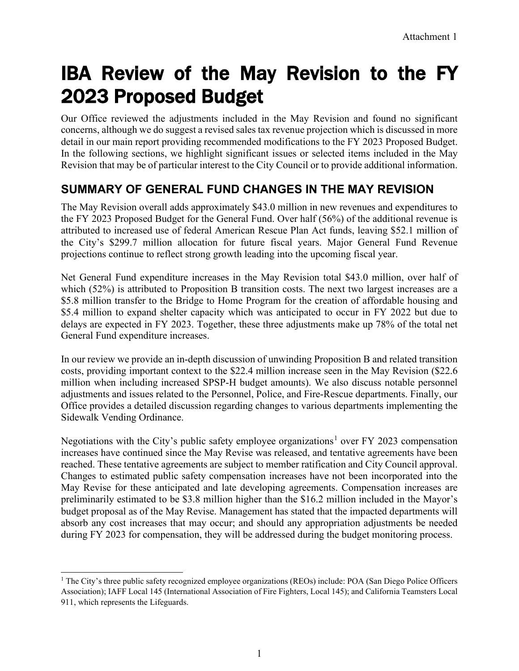# IBA Review of the May Revision to the FY 2023 Proposed Budget

Our Office reviewed the adjustments included in the May Revision and found no significant concerns, although we do suggest a revised sales tax revenue projection which is discussed in more detail in our main report providing recommended modifications to the FY 2023 Proposed Budget. In the following sections, we highlight significant issues or selected items included in the May Revision that may be of particular interest to the City Council or to provide additional information.

# **SUMMARY OF GENERAL FUND CHANGES IN THE MAY REVISION**

The May Revision overall adds approximately \$43.0 million in new revenues and expenditures to the FY 2023 Proposed Budget for the General Fund. Over half (56%) of the additional revenue is attributed to increased use of federal American Rescue Plan Act funds, leaving \$52.1 million of the City's \$299.7 million allocation for future fiscal years. Major General Fund Revenue projections continue to reflect strong growth leading into the upcoming fiscal year.

Net General Fund expenditure increases in the May Revision total \$43.0 million, over half of which (52%) is attributed to Proposition B transition costs. The next two largest increases are a \$5.8 million transfer to the Bridge to Home Program for the creation of affordable housing and \$5.4 million to expand shelter capacity which was anticipated to occur in FY 2022 but due to delays are expected in FY 2023. Together, these three adjustments make up 78% of the total net General Fund expenditure increases.

In our review we provide an in-depth discussion of unwinding Proposition B and related transition costs, providing important context to the \$22.4 million increase seen in the May Revision (\$22.6 million when including increased SPSP-H budget amounts). We also discuss notable personnel adjustments and issues related to the Personnel, Police, and Fire-Rescue departments. Finally, our Office provides a detailed discussion regarding changes to various departments implementing the Sidewalk Vending Ordinance.

Negotiations with the City's public safety employee organizations<sup>[1](#page-14-0)</sup> over FY 2023 compensation increases have continued since the May Revise was released, and tentative agreements have been reached. These tentative agreements are subject to member ratification and City Council approval. Changes to estimated public safety compensation increases have not been incorporated into the May Revise for these anticipated and late developing agreements. Compensation increases are preliminarily estimated to be \$3.8 million higher than the \$16.2 million included in the Mayor's budget proposal as of the May Revise. Management has stated that the impacted departments will absorb any cost increases that may occur; and should any appropriation adjustments be needed during FY 2023 for compensation, they will be addressed during the budget monitoring process.

<span id="page-14-0"></span><sup>&</sup>lt;sup>1</sup> The City's three public safety recognized employee organizations (REOs) include: POA (San Diego Police Officers Association); IAFF Local 145 (International Association of Fire Fighters, Local 145); and California Teamsters Local 911, which represents the Lifeguards.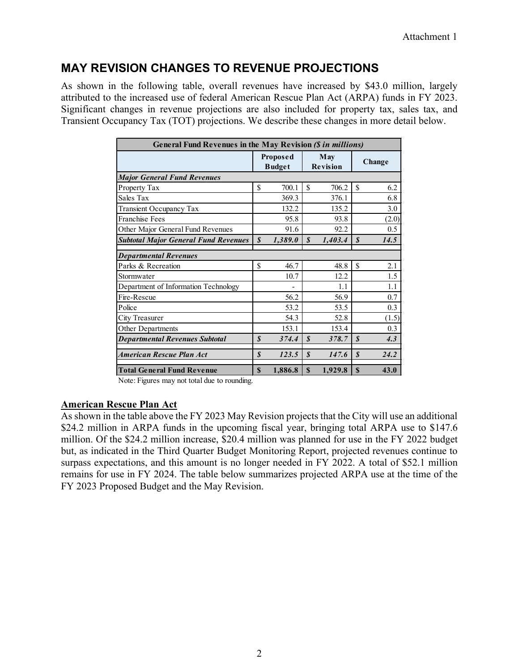# **MAY REVISION CHANGES TO REVENUE PROJECTIONS**

As shown in the following table, overall revenues have increased by \$43.0 million, largely attributed to the increased use of federal American Rescue Plan Act (ARPA) funds in FY 2023. Significant changes in revenue projections are also included for property tax, sales tax, and Transient Occupancy Tax (TOT) projections. We describe these changes in more detail below.

| General Fund Revenues in the May Revision (\$ in millions) |                  |                           |                        |         |                  |               |  |  |
|------------------------------------------------------------|------------------|---------------------------|------------------------|---------|------------------|---------------|--|--|
|                                                            |                  | Proposed<br><b>Budget</b> | May<br><b>Revision</b> |         |                  | <b>Change</b> |  |  |
| <b>Major General Fund Revenues</b>                         |                  |                           |                        |         |                  |               |  |  |
| Property Tax                                               | \$               | 700.1                     | \$                     | 706.2   | \$               | 6.2           |  |  |
| Sales Tax                                                  |                  | 369.3                     |                        | 376.1   |                  | 6.8           |  |  |
| Transient Occupancy Tax                                    |                  | 132.2                     |                        | 135.2   |                  | 3.0           |  |  |
| <b>Franchise Fees</b>                                      |                  | 95.8                      |                        | 93.8    |                  | (2.0)         |  |  |
| Other Major General Fund Revenues                          |                  | 91.6                      |                        | 92.2    |                  | 0.5           |  |  |
| <b>Subtotal Major General Fund Revenues</b>                | $\boldsymbol{S}$ | 1,389.0                   | \$                     | 1,403.4 | $\boldsymbol{s}$ | 14.5          |  |  |
| <b>Departmental Revenues</b>                               |                  |                           |                        |         |                  |               |  |  |
| Parks & Recreation                                         | \$               | 46.7                      |                        | 48.8    | \$               | 2.1           |  |  |
| Stormwater                                                 |                  | 10.7                      |                        | 12.2    |                  | 1.5           |  |  |
| Department of Information Technology                       |                  |                           |                        | 1.1     |                  | 1.1           |  |  |
| Fire-Rescue                                                |                  | 56.2                      |                        | 56.9    |                  | 0.7           |  |  |
| Police                                                     |                  | 53.2                      |                        | 53.5    |                  | 0.3           |  |  |
| City Treasurer                                             |                  | 54.3                      |                        | 52.8    |                  | (1.5)         |  |  |
| Other Departments                                          |                  | 153.1                     |                        | 153.4   |                  | 0.3           |  |  |
| <b>Departmental Revenues Subtotal</b>                      | $\boldsymbol{s}$ | 374.4                     | $\boldsymbol{s}$       | 378.7   | $\boldsymbol{s}$ | 4.3           |  |  |
| American Rescue Plan Act                                   | \$               | 123.5                     | $\boldsymbol{s}$       | 147.6   | $\boldsymbol{s}$ | 24.2          |  |  |
| <b>Total General Fund Revenue</b>                          | <b>S</b>         | 1,886.8                   | \$                     | 1,929.8 | $\mathbf{s}$     | 43.0          |  |  |

Note: Figures may not total due to rounding.

### **American Rescue Plan Act**

As shown in the table above the FY 2023 May Revision projects that the City will use an additional \$24.2 million in ARPA funds in the upcoming fiscal year, bringing total ARPA use to \$147.6 million. Of the \$24.2 million increase, \$20.4 million was planned for use in the FY 2022 budget but, as indicated in the Third Quarter Budget Monitoring Report, projected revenues continue to surpass expectations, and this amount is no longer needed in FY 2022. A total of \$52.1 million remains for use in FY 2024. The table below summarizes projected ARPA use at the time of the FY 2023 Proposed Budget and the May Revision.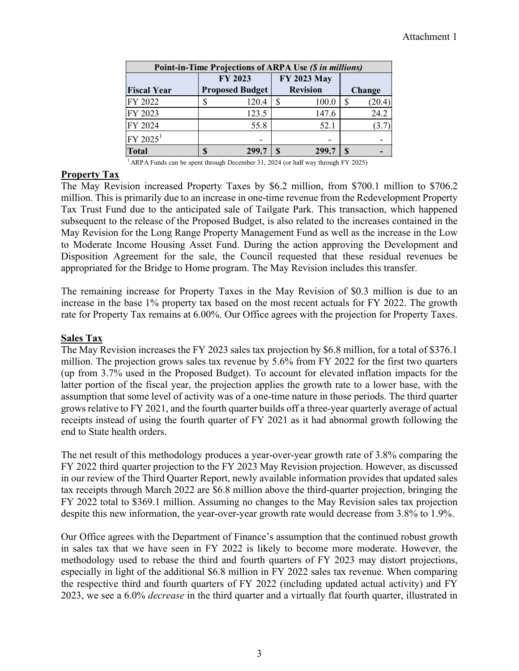| Point-in-Time Projections of ARPA Use (\$ in millions) |    |                        |          |                 |   |               |  |  |
|--------------------------------------------------------|----|------------------------|----------|-----------------|---|---------------|--|--|
|                                                        |    | FY 2023                |          | FY 2023 May     |   |               |  |  |
| <b>Fiscal Year</b>                                     |    | <b>Proposed Budget</b> |          | <b>Revision</b> |   | <b>Change</b> |  |  |
| FY 2022                                                |    | 120.4                  | S.       | 100.0           | S | (20.4)        |  |  |
| FY 2023                                                |    | 123.5                  |          | 147.6           |   | 24.2          |  |  |
| FY 2024                                                |    | 55.8                   |          | 52.1            |   | (3.7)         |  |  |
| FY 2025 <sup>1</sup>                                   |    |                        |          |                 |   |               |  |  |
| <b>Total</b>                                           | \$ | 299.7                  | <b>S</b> | 299.7           | S |               |  |  |

 $1$  ARPA Funds can be spent through December 31, 2024 (or half way through FY 2025)

# **Property Tax**

The May Revision increased Property Taxes by \$6.2 million, from \$700.1 million to \$706.2 million. This is primarily due to an increase in one-time revenue from the Redevelopment Property Tax Trust Fund due to the anticipated sale of Tailgate Park. This transaction, which happened subsequent to the release of the Proposed Budget, is also related to the increases contained in the May Revision for the Long Range Property Management Fund as well as the increase in the Low to Moderate Income Housing Asset Fund. During the action approving the Development and Disposition Agreement for the sale, the Council requested that these residual revenues be appropriated for the Bridge to Home program. The May Revision includes this transfer.

The remaining increase for Property Taxes in the May Revision of \$0.3 million is due to an increase in the base 1% property tax based on the most recent actuals for FY 2022. The growth rate for Property Tax remains at 6.00%. Our Office agrees with the projection for Property Taxes.

# **Sales Tax**

The May Revision increases the FY 2023 sales tax projection by \$6.8 million, for a total of \$376.1 million. The projection grows sales tax revenue by 5.6% from FY 2022 for the first two quarters (up from 3.7% used in the Proposed Budget). To account for elevated inflation impacts for the latter portion of the fiscal year, the projection applies the growth rate to a lower base, with the assumption that some level of activity was of a one-time nature in those periods. The third quarter grows relative to FY 2021, and the fourth quarter builds off a three-year quarterly average of actual receipts instead of using the fourth quarter of FY 2021 as it had abnormal growth following the end to State health orders.

The net result of this methodology produces a year-over-year growth rate of 3.8% comparing the FY 2022 third quarter projection to the FY 2023 May Revision projection. However, as discussed in our review of the Third Quarter Report, newly available information provides that updated sales tax receipts through March 2022 are \$6.8 million above the third-quarter projection, bringing the FY 2022 total to \$369.1 million. Assuming no changes to the May Revision sales tax projection despite this new information, the year-over-year growth rate would decrease from 3.8% to 1.9%.

Our Office agrees with the Department of Finance's assumption that the continued robust growth in sales tax that we have seen in FY 2022 is likely to become more moderate. However, the methodology used to rebase the third and fourth quarters of FY 2023 may distort projections, especially in light of the additional \$6.8 million in FY 2022 sales tax revenue. When comparing the respective third and fourth quarters of FY 2022 (including updated actual activity) and FY 2023, we see a 6.0% *decrease* in the third quarter and a virtually flat fourth quarter, illustrated in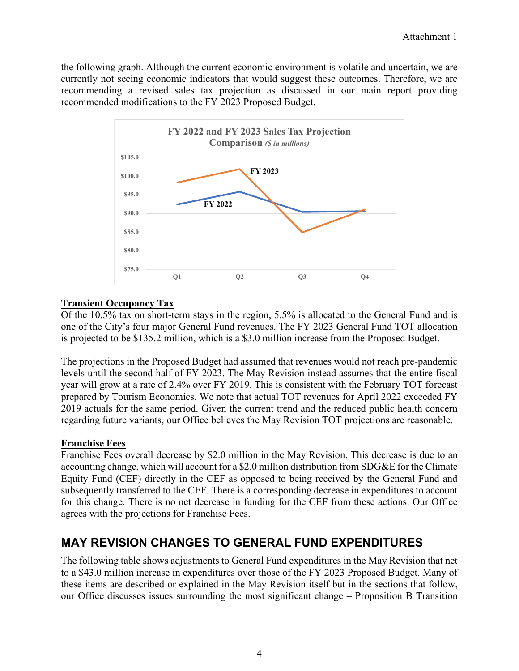the following graph. Although the current economic environment is volatile and uncertain, we are currently not seeing economic indicators that would suggest these outcomes. Therefore, we are recommending a revised sales tax projection as discussed in our main report providing recommended modifications to the FY 2023 Proposed Budget.



# **Transient Occupancy Tax**

Of the 10.5% tax on short-term stays in the region, 5.5% is allocated to the General Fund and is one of the City's four major General Fund revenues. The FY 2023 General Fund TOT allocation is projected to be \$135.2 million, which is a \$3.0 million increase from the Proposed Budget.

The projections in the Proposed Budget had assumed that revenues would not reach pre-pandemic levels until the second half of FY 2023. The May Revision instead assumes that the entire fiscal year will grow at a rate of 2.4% over FY 2019. This is consistent with the February TOT forecast prepared by Tourism Economics. We note that actual TOT revenues for April 2022 exceeded FY 2019 actuals for the same period. Given the current trend and the reduced public health concern regarding future variants, our Office believes the May Revision TOT projections are reasonable.

# **Franchise Fees**

Franchise Fees overall decrease by \$2.0 million in the May Revision. This decrease is due to an accounting change, which will account for a \$2.0 million distribution from SDG&E for the Climate Equity Fund (CEF) directly in the CEF as opposed to being received by the General Fund and subsequently transferred to the CEF. There is a corresponding decrease in expenditures to account for this change. There is no net decrease in funding for the CEF from these actions. Our Office agrees with the projections for Franchise Fees.

# **MAY REVISION CHANGES TO GENERAL FUND EXPENDITURES**

The following table shows adjustments to General Fund expenditures in the May Revision that net to a \$43.0 million increase in expenditures over those of the FY 2023 Proposed Budget. Many of these items are described or explained in the May Revision itself but in the sections that follow, our Office discusses issues surrounding the most significant change – Proposition B Transition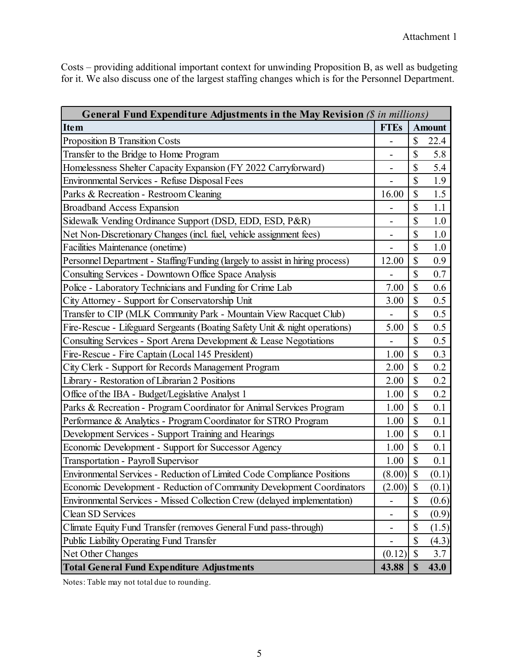Costs – providing additional important context for unwinding Proposition B, as well as budgeting for it. We also discuss one of the largest staffing changes which is for the Personnel Department.

| <b>General Fund Expenditure Adjustments in the May Revision (S in millions)</b> |                          |                        |               |  |  |
|---------------------------------------------------------------------------------|--------------------------|------------------------|---------------|--|--|
| <b>Item</b>                                                                     | <b>FTEs</b>              |                        | <b>Amount</b> |  |  |
| <b>Proposition B Transition Costs</b>                                           |                          | $\mathbb{S}$           | 22.4          |  |  |
| Transfer to the Bridge to Home Program                                          |                          | \$                     | 5.8           |  |  |
| Homelessness Shelter Capacity Expansion (FY 2022 Carryforward)                  |                          | \$                     | 5.4           |  |  |
| <b>Environmental Services - Refuse Disposal Fees</b>                            |                          | \$                     | 1.9           |  |  |
| Parks & Recreation - Restroom Cleaning                                          | 16.00                    | \$                     | 1.5           |  |  |
| <b>Broadband Access Expansion</b>                                               |                          | \$                     | 1.1           |  |  |
| Sidewalk Vending Ordinance Support (DSD, EDD, ESD, P&R)                         |                          | \$                     | 1.0           |  |  |
| Net Non-Discretionary Changes (incl. fuel, vehicle assignment fees)             |                          | \$                     | 1.0           |  |  |
| Facilities Maintenance (onetime)                                                |                          | \$                     | 1.0           |  |  |
| Personnel Department - Staffing/Funding (largely to assist in hiring process)   | 12.00                    | \$                     | 0.9           |  |  |
| Consulting Services - Downtown Office Space Analysis                            |                          | \$                     | 0.7           |  |  |
| Police - Laboratory Technicians and Funding for Crime Lab                       | 7.00                     | \$                     | 0.6           |  |  |
| City Attorney - Support for Conservatorship Unit                                | 3.00                     | \$                     | 0.5           |  |  |
| Transfer to CIP (MLK Community Park - Mountain View Racquet Club)               |                          | \$                     | $0.5\,$       |  |  |
| Fire-Rescue - Lifeguard Sergeants (Boating Safety Unit & night operations)      | 5.00                     | \$                     | 0.5           |  |  |
| Consulting Services - Sport Arena Development & Lease Negotiations              | $\overline{a}$           | \$                     | 0.5           |  |  |
| Fire-Rescue - Fire Captain (Local 145 President)                                | 1.00                     | \$                     | 0.3           |  |  |
| City Clerk - Support for Records Management Program                             | 2.00                     | \$                     | 0.2           |  |  |
| Library - Restoration of Librarian 2 Positions                                  | 2.00                     | \$                     | 0.2           |  |  |
| Office of the IBA - Budget/Legislative Analyst 1                                | 1.00                     | \$                     | 0.2           |  |  |
| Parks & Recreation - Program Coordinator for Animal Services Program            | 1.00                     | \$                     | 0.1           |  |  |
| Performance & Analytics - Program Coordinator for STRO Program                  | 1.00                     | \$                     | 0.1           |  |  |
| Development Services - Support Training and Hearings                            | 1.00                     | $\sqrt{\frac{2}{\pi}}$ | 0.1           |  |  |
| Economic Development - Support for Successor Agency                             | 1.00                     | \$                     | 0.1           |  |  |
| Transportation - Payroll Supervisor                                             | 1.00                     | $\sqrt{\frac{2}{\pi}}$ | 0.1           |  |  |
| Environmental Services - Reduction of Limited Code Compliance Positions         | (8.00)                   | \$                     | (0.1)         |  |  |
| Economic Development - Reduction of Community Development Coordinators          | (2.00)                   | $\sqrt{\frac{2}{\pi}}$ | (0.1)         |  |  |
| Environmental Services - Missed Collection Crew (delayed implementation)        |                          | \$                     | (0.6)         |  |  |
| Clean SD Services                                                               | $\overline{\phantom{0}}$ | \$                     | (0.9)         |  |  |
| Climate Equity Fund Transfer (removes General Fund pass-through)                | -                        | \$                     | (1.5)         |  |  |
| Public Liability Operating Fund Transfer                                        |                          | \$                     | (4.3)         |  |  |
| Net Other Changes                                                               | (0.12)                   | \$                     | 3.7           |  |  |
| <b>Total General Fund Expenditure Adjustments</b>                               | 43.88                    | $\mathbb{S}$           | 43.0          |  |  |

Notes: Table may not total due to rounding.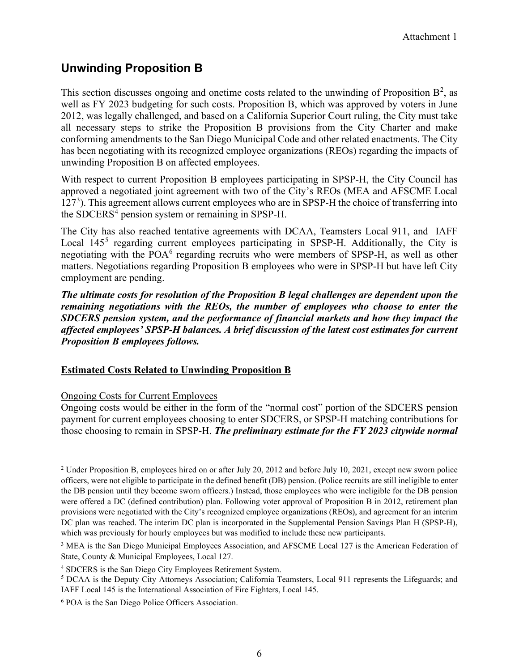# **Unwinding Proposition B**

This section discusses ongoing and onetime costs related to the unwinding of Proposition  $B^2$  $B^2$ , as well as FY 2023 budgeting for such costs. Proposition B, which was approved by voters in June 2012, was legally challenged, and based on a California Superior Court ruling, the City must take all necessary steps to strike the Proposition B provisions from the City Charter and make conforming amendments to the San Diego Municipal Code and other related enactments. The City has been negotiating with its recognized employee organizations (REOs) regarding the impacts of unwinding Proposition B on affected employees.

With respect to current Proposition B employees participating in SPSP-H, the City Council has approved a negotiated joint agreement with two of the City's REOs (MEA and AFSCME Local 127<sup>[3](#page-19-1)</sup>). This agreement allows current employees who are in SPSP-H the choice of transferring into the SDCERS<sup>[4](#page-19-2)</sup> pension system or remaining in SPSP-H.

The City has also reached tentative agreements with DCAA, Teamsters Local 911, and IAFF Local 14[5](#page-19-3)<sup>5</sup> regarding current employees participating in SPSP-H. Additionally, the City is negotiating with the  $POA<sup>6</sup>$  $POA<sup>6</sup>$  $POA<sup>6</sup>$  regarding recruits who were members of SPSP-H, as well as other matters. Negotiations regarding Proposition B employees who were in SPSP-H but have left City employment are pending.

*The ultimate costs for resolution of the Proposition B legal challenges are dependent upon the remaining negotiations with the REOs, the number of employees who choose to enter the SDCERS pension system, and the performance of financial markets and how they impact the affected employees' SPSP-H balances. A brief discussion of the latest cost estimates for current Proposition B employees follows.* 

# **Estimated Costs Related to Unwinding Proposition B**

# Ongoing Costs for Current Employees

Ongoing costs would be either in the form of the "normal cost" portion of the SDCERS pension payment for current employees choosing to enter SDCERS, or SPSP-H matching contributions for those choosing to remain in SPSP-H. *The preliminary estimate for the FY 2023 citywide normal* 

<span id="page-19-0"></span><sup>&</sup>lt;sup>2</sup> Under Proposition B, employees hired on or after July 20, 2012 and before July 10, 2021, except new sworn police officers, were not eligible to participate in the defined benefit (DB) pension. (Police recruits are still ineligible to enter the DB pension until they become sworn officers.) Instead, those employees who were ineligible for the DB pension were offered a DC (defined contribution) plan. Following voter approval of Proposition B in 2012, retirement plan provisions were negotiated with the City's recognized employee organizations (REOs), and agreement for an interim DC plan was reached. The interim DC plan is incorporated in the Supplemental Pension Savings Plan H (SPSP-H), which was previously for hourly employees but was modified to include these new participants.

<span id="page-19-1"></span><sup>&</sup>lt;sup>3</sup> MEA is the San Diego Municipal Employees Association, and AFSCME Local 127 is the American Federation of State, County & Municipal Employees, Local 127.

<span id="page-19-2"></span><sup>4</sup> SDCERS is the San Diego City Employees Retirement System.

<span id="page-19-3"></span><sup>5</sup> DCAA is the Deputy City Attorneys Association; California Teamsters, Local 911 represents the Lifeguards; and IAFF Local 145 is the International Association of Fire Fighters, Local 145.

<span id="page-19-4"></span><sup>6</sup> POA is the San Diego Police Officers Association.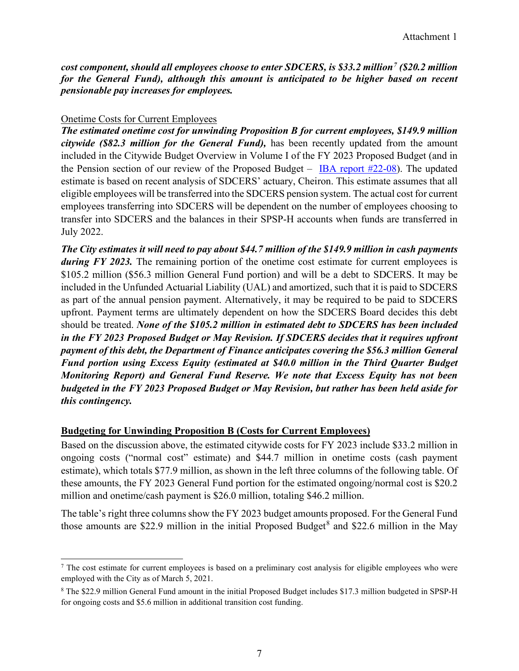*cost component, should all employees choose to enter SDCERS, is \$33.2 million[7](#page-20-0) (\$20.2 million for the General Fund), although this amount is anticipated to be higher based on recent pensionable pay increases for employees.* 

## Onetime Costs for Current Employees

*The estimated onetime cost for unwinding Proposition B for current employees, \$149.9 million citywide (\$82.3 million for the General Fund),* has been recently updated from the amount included in the Citywide Budget Overview in Volume I of the FY 2023 Proposed Budget (and in the Pension section of our review of the Proposed Budget – [IBA report #22-08\)](https://www.sandiego.gov/sites/default/files/iba_report_22-08_review_of_the_fy_2023_proposed_budget.pdf). The updated estimate is based on recent analysis of SDCERS' actuary, Cheiron. This estimate assumes that all eligible employees will be transferred into the SDCERS pension system. The actual cost for current employees transferring into SDCERS will be dependent on the number of employees choosing to transfer into SDCERS and the balances in their SPSP-H accounts when funds are transferred in July 2022.

*The City estimates it will need to pay about \$44.7 million of the \$149.9 million in cash payments during FY 2023*. The remaining portion of the onetime cost estimate for current employees is \$105.2 million (\$56.3 million General Fund portion) and will be a debt to SDCERS. It may be included in the Unfunded Actuarial Liability (UAL) and amortized, such that it is paid to SDCERS as part of the annual pension payment. Alternatively, it may be required to be paid to SDCERS upfront. Payment terms are ultimately dependent on how the SDCERS Board decides this debt should be treated. *None of the \$105.2 million in estimated debt to SDCERS has been included in the FY 2023 Proposed Budget or May Revision. If SDCERS decides that it requires upfront payment of this debt, the Department of Finance anticipates covering the \$56.3 million General Fund portion using Excess Equity (estimated at \$40.0 million in the Third Quarter Budget Monitoring Report) and General Fund Reserve. We note that Excess Equity has not been budgeted in the FY 2023 Proposed Budget or May Revision, but rather has been held aside for this contingency.* 

# **Budgeting for Unwinding Proposition B (Costs for Current Employees)**

Based on the discussion above, the estimated citywide costs for FY 2023 include \$33.2 million in ongoing costs ("normal cost" estimate) and \$44.7 million in onetime costs (cash payment estimate), which totals \$77.9 million, as shown in the left three columns of the following table. Of these amounts, the FY 2023 General Fund portion for the estimated ongoing/normal cost is \$20.2 million and onetime/cash payment is \$26.0 million, totaling \$46.2 million.

The table's right three columns show the FY 2023 budget amounts proposed. For the General Fund those amounts are \$22.9 million in the initial Proposed Budget<sup>[8](#page-20-1)</sup> and \$22.6 million in the May

<span id="page-20-0"></span><sup>7</sup> The cost estimate for current employees is based on a preliminary cost analysis for eligible employees who were employed with the City as of March 5, 2021.

<span id="page-20-1"></span><sup>8</sup> The \$22.9 million General Fund amount in the initial Proposed Budget includes \$17.3 million budgeted in SPSP-H for ongoing costs and \$5.6 million in additional transition cost funding.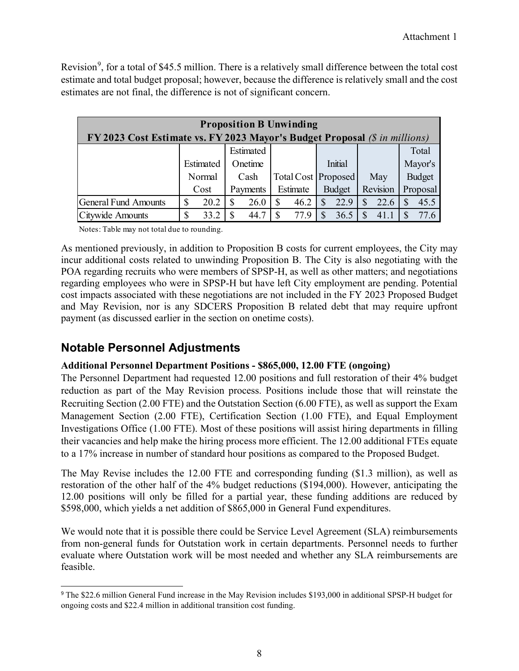Revision<sup>[9](#page-21-0)</sup>, for a total of \$45.5 million. There is a relatively small difference between the total cost estimate and total budget proposal; however, because the difference is relatively small and the cost estimates are not final, the difference is not of significant concern.

| <b>Proposition B Unwinding</b>                                             |    |           |    |           |          |                     |  |               |          |          |   |               |
|----------------------------------------------------------------------------|----|-----------|----|-----------|----------|---------------------|--|---------------|----------|----------|---|---------------|
| FY 2023 Cost Estimate vs. FY 2023 Mayor's Budget Proposal (\$ in millions) |    |           |    |           |          |                     |  |               |          |          |   |               |
|                                                                            |    |           |    | Estimated |          |                     |  |               |          |          |   | Total         |
|                                                                            |    | Estimated |    | Onetime   |          |                     |  | Initial       |          |          |   | Mayor's       |
|                                                                            |    | Normal    |    | Cash      |          | Total Cost Proposed |  |               |          | May      |   | <b>Budget</b> |
|                                                                            |    | Cost      |    | Payments  |          | Estimate            |  | <b>Budget</b> |          | Revision |   | Proposal      |
| <b>General Fund Amounts</b>                                                | \$ | 20.2      | S  | 26.0      | <b>S</b> | 46.2                |  | 22.9          | <b>S</b> | 22.6     | S | 45.5          |
| Citywide Amounts                                                           | \$ | 33.2      | \$ | 44.7      | S        | 77.9                |  | 36.5          | S        | 41.1     |   | 77.6          |

Notes: Table may not total due to rounding.

As mentioned previously, in addition to Proposition B costs for current employees, the City may incur additional costs related to unwinding Proposition B. The City is also negotiating with the POA regarding recruits who were members of SPSP-H, as well as other matters; and negotiations regarding employees who were in SPSP-H but have left City employment are pending. Potential cost impacts associated with these negotiations are not included in the FY 2023 Proposed Budget and May Revision, nor is any SDCERS Proposition B related debt that may require upfront payment (as discussed earlier in the section on onetime costs).

# **Notable Personnel Adjustments**

# **Additional Personnel Department Positions - \$865,000, 12.00 FTE (ongoing)**

The Personnel Department had requested 12.00 positions and full restoration of their 4% budget reduction as part of the May Revision process. Positions include those that will reinstate the Recruiting Section (2.00 FTE) and the Outstation Section (6.00 FTE), as well as support the Exam Management Section (2.00 FTE), Certification Section (1.00 FTE), and Equal Employment Investigations Office (1.00 FTE). Most of these positions will assist hiring departments in filling their vacancies and help make the hiring process more efficient. The 12.00 additional FTEs equate to a 17% increase in number of standard hour positions as compared to the Proposed Budget.

The May Revise includes the 12.00 FTE and corresponding funding (\$1.3 million), as well as restoration of the other half of the 4% budget reductions (\$194,000). However, anticipating the 12.00 positions will only be filled for a partial year, these funding additions are reduced by \$598,000, which yields a net addition of \$865,000 in General Fund expenditures.

We would note that it is possible there could be Service Level Agreement (SLA) reimbursements from non-general funds for Outstation work in certain departments. Personnel needs to further evaluate where Outstation work will be most needed and whether any SLA reimbursements are feasible.

<span id="page-21-0"></span><sup>9</sup> The \$22.6 million General Fund increase in the May Revision includes \$193,000 in additional SPSP-H budget for ongoing costs and \$22.4 million in additional transition cost funding.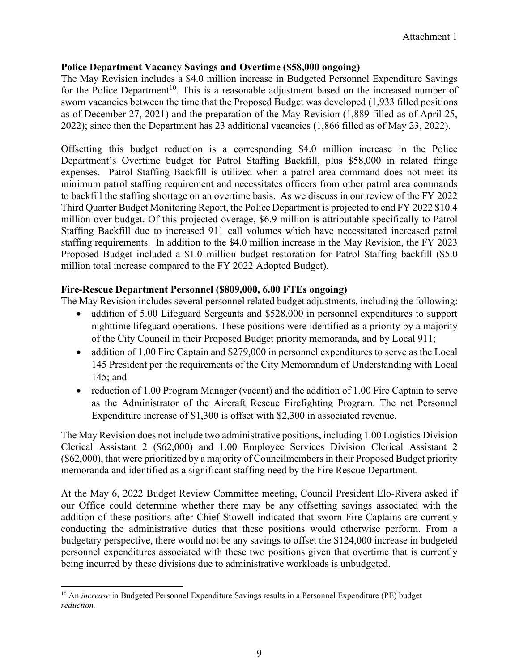# **Police Department Vacancy Savings and Overtime (\$58,000 ongoing)**

The May Revision includes a \$4.0 million increase in Budgeted Personnel Expenditure Savings for the Police Department<sup>[10](#page-22-0)</sup>. This is a reasonable adjustment based on the increased number of sworn vacancies between the time that the Proposed Budget was developed (1,933 filled positions as of December 27, 2021) and the preparation of the May Revision (1,889 filled as of April 25, 2022); since then the Department has 23 additional vacancies (1,866 filled as of May 23, 2022).

Offsetting this budget reduction is a corresponding \$4.0 million increase in the Police Department's Overtime budget for Patrol Staffing Backfill, plus \$58,000 in related fringe expenses. Patrol Staffing Backfill is utilized when a patrol area command does not meet its minimum patrol staffing requirement and necessitates officers from other patrol area commands to backfill the staffing shortage on an overtime basis. As we discuss in our review of the FY 2022 Third Quarter Budget Monitoring Report, the Police Department is projected to end FY 2022 \$10.4 million over budget. Of this projected overage, \$6.9 million is attributable specifically to Patrol Staffing Backfill due to increased 911 call volumes which have necessitated increased patrol staffing requirements. In addition to the \$4.0 million increase in the May Revision, the FY 2023 Proposed Budget included a \$1.0 million budget restoration for Patrol Staffing backfill (\$5.0 million total increase compared to the FY 2022 Adopted Budget).

### **Fire-Rescue Department Personnel (\$809,000, 6.00 FTEs ongoing)**

The May Revision includes several personnel related budget adjustments, including the following:

- addition of 5.00 Lifeguard Sergeants and \$528,000 in personnel expenditures to support nighttime lifeguard operations. These positions were identified as a priority by a majority of the City Council in their Proposed Budget priority memoranda, and by Local 911;
- addition of 1.00 Fire Captain and \$279,000 in personnel expenditures to serve as the Local 145 President per the requirements of the City Memorandum of Understanding with Local 145; and
- reduction of 1.00 Program Manager (vacant) and the addition of 1.00 Fire Captain to serve as the Administrator of the Aircraft Rescue Firefighting Program. The net Personnel Expenditure increase of \$1,300 is offset with \$2,300 in associated revenue.

The May Revision does not include two administrative positions, including 1.00 Logistics Division Clerical Assistant 2 (\$62,000) and 1.00 Employee Services Division Clerical Assistant 2 (\$62,000), that were prioritized by a majority of Councilmembers in their Proposed Budget priority memoranda and identified as a significant staffing need by the Fire Rescue Department.

At the May 6, 2022 Budget Review Committee meeting, Council President Elo-Rivera asked if our Office could determine whether there may be any offsetting savings associated with the addition of these positions after Chief Stowell indicated that sworn Fire Captains are currently conducting the administrative duties that these positions would otherwise perform. From a budgetary perspective, there would not be any savings to offset the \$124,000 increase in budgeted personnel expenditures associated with these two positions given that overtime that is currently being incurred by these divisions due to administrative workloads is unbudgeted.

<span id="page-22-0"></span><sup>&</sup>lt;sup>10</sup> An *increase* in Budgeted Personnel Expenditure Savings results in a Personnel Expenditure (PE) budget *reduction.*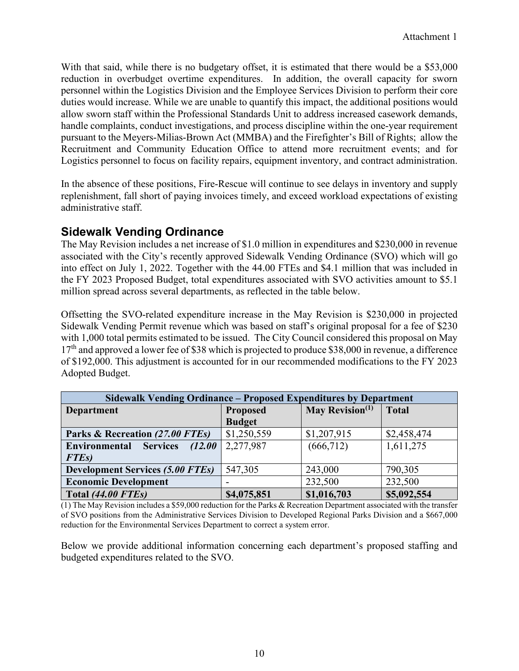With that said, while there is no budgetary offset, it is estimated that there would be a \$53,000 reduction in overbudget overtime expenditures. In addition, the overall capacity for sworn personnel within the Logistics Division and the Employee Services Division to perform their core duties would increase. While we are unable to quantify this impact, the additional positions would allow sworn staff within the Professional Standards Unit to address increased casework demands, handle complaints, conduct investigations, and process discipline within the one-year requirement pursuant to the Meyers-Milias-Brown Act (MMBA) and the Firefighter's Bill of Rights; allow the Recruitment and Community Education Office to attend more recruitment events; and for Logistics personnel to focus on facility repairs, equipment inventory, and contract administration.

In the absence of these positions, Fire-Rescue will continue to see delays in inventory and supply replenishment, fall short of paying invoices timely, and exceed workload expectations of existing administrative staff.

# **Sidewalk Vending Ordinance**

The May Revision includes a net increase of \$1.0 million in expenditures and \$230,000 in revenue associated with the City's recently approved Sidewalk Vending Ordinance (SVO) which will go into effect on July 1, 2022. Together with the 44.00 FTEs and \$4.1 million that was included in the FY 2023 Proposed Budget, total expenditures associated with SVO activities amount to \$5.1 million spread across several departments, as reflected in the table below.

Offsetting the SVO-related expenditure increase in the May Revision is \$230,000 in projected Sidewalk Vending Permit revenue which was based on staff's original proposal for a fee of \$230 with 1,000 total permits estimated to be issued. The City Council considered this proposal on May 17<sup>th</sup> and approved a lower fee of \$38 which is projected to produce \$38,000 in revenue, a difference of \$192,000. This adjustment is accounted for in our recommended modifications to the FY 2023 Adopted Budget.

| Sidewalk Vending Ordinance – Proposed Expenditures by Department |                 |                    |              |  |  |  |  |  |
|------------------------------------------------------------------|-----------------|--------------------|--------------|--|--|--|--|--|
| <b>Department</b>                                                | <b>Proposed</b> | May Revision $(1)$ | <b>Total</b> |  |  |  |  |  |
|                                                                  | <b>Budget</b>   |                    |              |  |  |  |  |  |
| Parks & Recreation (27.00 FTEs)                                  | \$1,250,559     | \$1,207,915        | \$2,458,474  |  |  |  |  |  |
| <b>Environmental Services</b><br>(12.00)                         | 2,277,987       | (666, 712)         | 1,611,275    |  |  |  |  |  |
| <b>FTEs</b> )                                                    |                 |                    |              |  |  |  |  |  |
| <b>Development Services (5.00 FTEs)</b>                          | 547,305         | 243,000            | 790,305      |  |  |  |  |  |
| <b>Economic Development</b>                                      |                 | 232,500            | 232,500      |  |  |  |  |  |
| Total (44.00 FTEs)                                               | \$4,075,851     | \$1,016,703        | \$5,092,554  |  |  |  |  |  |

(1) The May Revision includes a \$59,000 reduction for the Parks & Recreation Department associated with the transfer of SVO positions from the Administrative Services Division to Developed Regional Parks Division and a \$667,000 reduction for the Environmental Services Department to correct a system error.

Below we provide additional information concerning each department's proposed staffing and budgeted expenditures related to the SVO.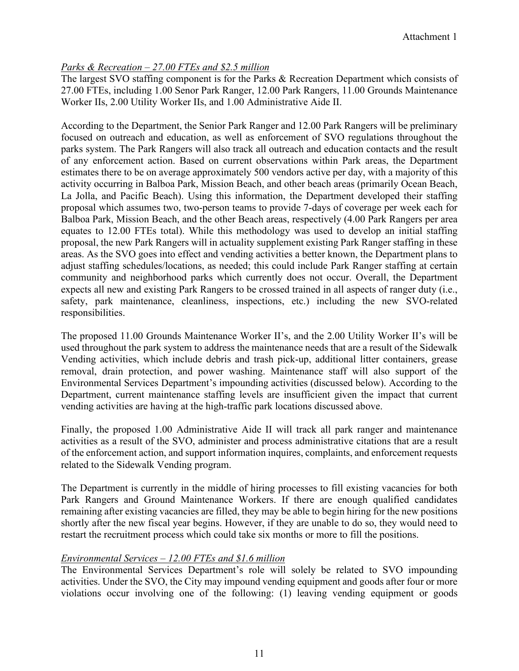# *Parks & Recreation – 27.00 FTEs and \$2.5 million*

The largest SVO staffing component is for the Parks & Recreation Department which consists of 27.00 FTEs, including 1.00 Senor Park Ranger, 12.00 Park Rangers, 11.00 Grounds Maintenance Worker IIs, 2.00 Utility Worker IIs, and 1.00 Administrative Aide II.

According to the Department, the Senior Park Ranger and 12.00 Park Rangers will be preliminary focused on outreach and education, as well as enforcement of SVO regulations throughout the parks system. The Park Rangers will also track all outreach and education contacts and the result of any enforcement action. Based on current observations within Park areas, the Department estimates there to be on average approximately 500 vendors active per day, with a majority of this activity occurring in Balboa Park, Mission Beach, and other beach areas (primarily Ocean Beach, La Jolla, and Pacific Beach). Using this information, the Department developed their staffing proposal which assumes two, two-person teams to provide 7-days of coverage per week each for Balboa Park, Mission Beach, and the other Beach areas, respectively (4.00 Park Rangers per area equates to 12.00 FTEs total). While this methodology was used to develop an initial staffing proposal, the new Park Rangers will in actuality supplement existing Park Ranger staffing in these areas. As the SVO goes into effect and vending activities a better known, the Department plans to adjust staffing schedules/locations, as needed; this could include Park Ranger staffing at certain community and neighborhood parks which currently does not occur. Overall, the Department expects all new and existing Park Rangers to be crossed trained in all aspects of ranger duty (i.e., safety, park maintenance, cleanliness, inspections, etc.) including the new SVO-related responsibilities.

The proposed 11.00 Grounds Maintenance Worker II's, and the 2.00 Utility Worker II's will be used throughout the park system to address the maintenance needs that are a result of the Sidewalk Vending activities, which include debris and trash pick-up, additional litter containers, grease removal, drain protection, and power washing. Maintenance staff will also support of the Environmental Services Department's impounding activities (discussed below). According to the Department, current maintenance staffing levels are insufficient given the impact that current vending activities are having at the high-traffic park locations discussed above.

Finally, the proposed 1.00 Administrative Aide II will track all park ranger and maintenance activities as a result of the SVO, administer and process administrative citations that are a result of the enforcement action, and support information inquires, complaints, and enforcement requests related to the Sidewalk Vending program.

The Department is currently in the middle of hiring processes to fill existing vacancies for both Park Rangers and Ground Maintenance Workers. If there are enough qualified candidates remaining after existing vacancies are filled, they may be able to begin hiring for the new positions shortly after the new fiscal year begins. However, if they are unable to do so, they would need to restart the recruitment process which could take six months or more to fill the positions.

### *Environmental Services – 12.00 FTEs and \$1.6 million*

The Environmental Services Department's role will solely be related to SVO impounding activities. Under the SVO, the City may impound vending equipment and goods after four or more violations occur involving one of the following: (1) leaving vending equipment or goods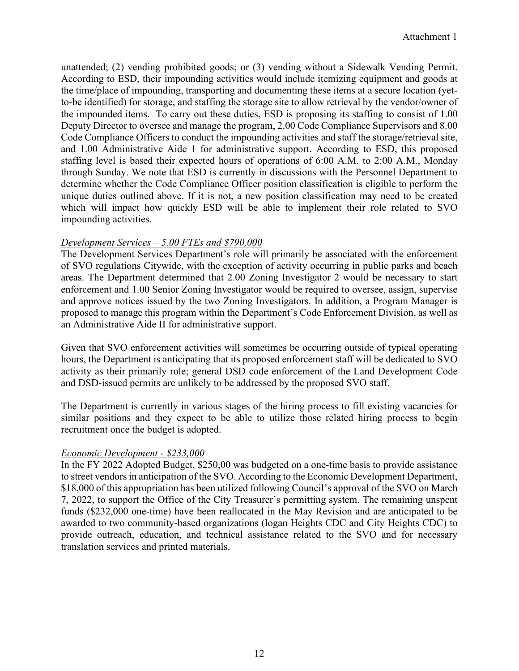unattended; (2) vending prohibited goods; or (3) vending without a Sidewalk Vending Permit. According to ESD, their impounding activities would include itemizing equipment and goods at the time/place of impounding, transporting and documenting these items at a secure location (yetto-be identified) for storage, and staffing the storage site to allow retrieval by the vendor/owner of the impounded items. To carry out these duties, ESD is proposing its staffing to consist of 1.00 Deputy Director to oversee and manage the program, 2.00 Code Compliance Supervisors and 8.00 Code Compliance Officers to conduct the impounding activities and staff the storage/retrieval site, and 1.00 Administrative Aide 1 for administrative support. According to ESD, this proposed staffing level is based their expected hours of operations of 6:00 A.M. to 2:00 A.M., Monday through Sunday. We note that ESD is currently in discussions with the Personnel Department to determine whether the Code Compliance Officer position classification is eligible to perform the unique duties outlined above. If it is not, a new position classification may need to be created which will impact how quickly ESD will be able to implement their role related to SVO impounding activities.

### *Development Services – 5.00 FTEs and \$790,000*

The Development Services Department's role will primarily be associated with the enforcement of SVO regulations Citywide, with the exception of activity occurring in public parks and beach areas. The Department determined that 2.00 Zoning Investigator 2 would be necessary to start enforcement and 1.00 Senior Zoning Investigator would be required to oversee, assign, supervise and approve notices issued by the two Zoning Investigators. In addition, a Program Manager is proposed to manage this program within the Department's Code Enforcement Division, as well as an Administrative Aide II for administrative support.

Given that SVO enforcement activities will sometimes be occurring outside of typical operating hours, the Department is anticipating that its proposed enforcement staff will be dedicated to SVO activity as their primarily role; general DSD code enforcement of the Land Development Code and DSD-issued permits are unlikely to be addressed by the proposed SVO staff.

The Department is currently in various stages of the hiring process to fill existing vacancies for similar positions and they expect to be able to utilize those related hiring process to begin recruitment once the budget is adopted.

# *Economic Development - \$233,000*

In the FY 2022 Adopted Budget, \$250,00 was budgeted on a one-time basis to provide assistance to street vendors in anticipation of the SVO. According to the Economic Development Department, \$18,000 of this appropriation has been utilized following Council's approval of the SVO on March 7, 2022, to support the Office of the City Treasurer's permitting system. The remaining unspent funds (\$232,000 one-time) have been reallocated in the May Revision and are anticipated to be awarded to two community-based organizations (logan Heights CDC and City Heights CDC) to provide outreach, education, and technical assistance related to the SVO and for necessary translation services and printed materials.